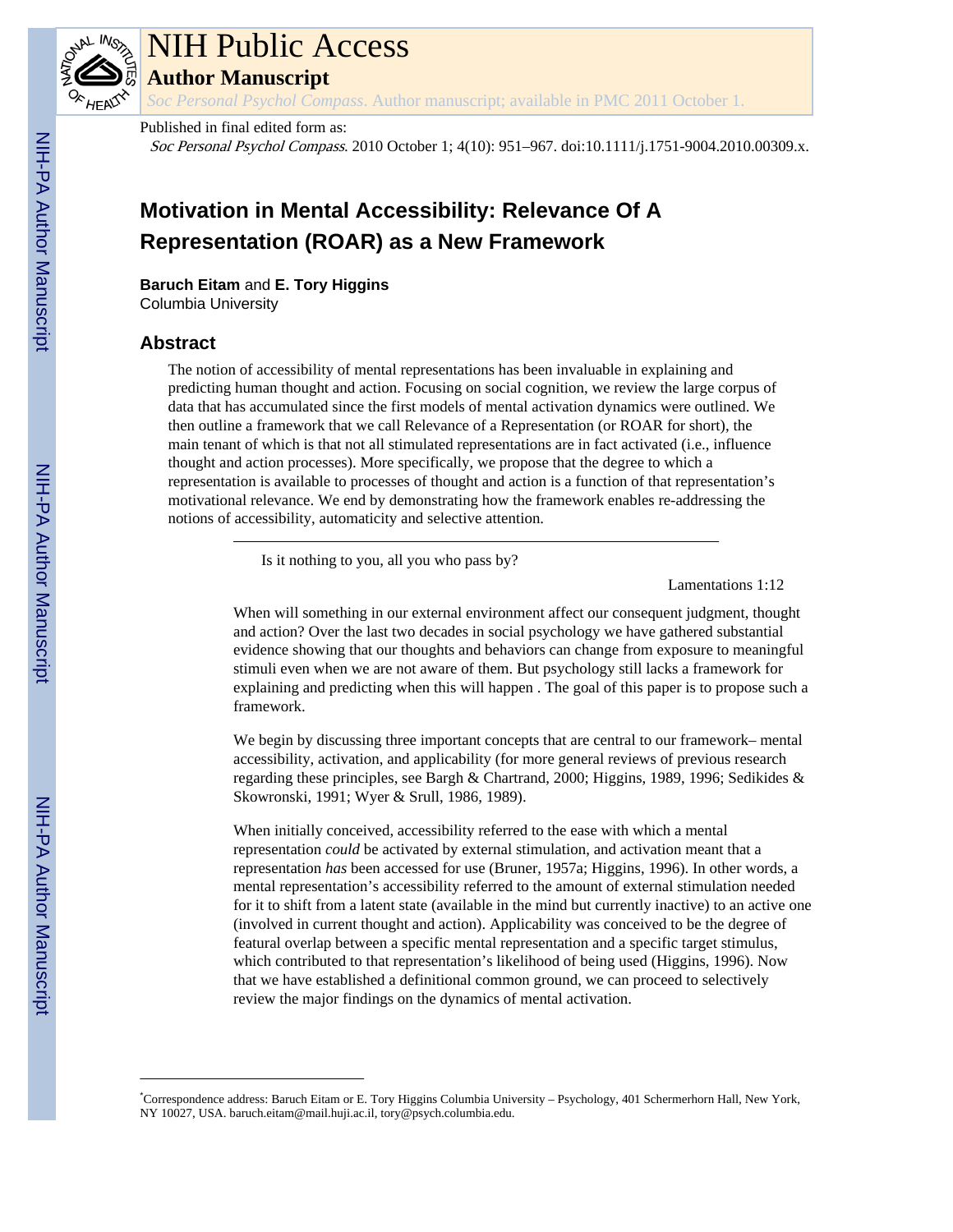

# NIH Public Access

**Author Manuscript**

*Soc Personal Psychol Compass*. Author manuscript; available in PMC 2011 October 1.

# Published in final edited form as:

Soc Personal Psychol Compass. 2010 October 1; 4(10): 951–967. doi:10.1111/j.1751-9004.2010.00309.x.

# **Motivation in Mental Accessibility: Relevance Of A Representation (ROAR) as a New Framework**

**Baruch Eitam** and **E. Tory Higgins** Columbia University

# **Abstract**

The notion of accessibility of mental representations has been invaluable in explaining and predicting human thought and action. Focusing on social cognition, we review the large corpus of data that has accumulated since the first models of mental activation dynamics were outlined. We then outline a framework that we call Relevance of a Representation (or ROAR for short), the main tenant of which is that not all stimulated representations are in fact activated (i.e., influence thought and action processes). More specifically, we propose that the degree to which a representation is available to processes of thought and action is a function of that representation's motivational relevance. We end by demonstrating how the framework enables re-addressing the notions of accessibility, automaticity and selective attention.

Is it nothing to you, all you who pass by?

Lamentations 1:12

When will something in our external environment affect our consequent judgment, thought and action? Over the last two decades in social psychology we have gathered substantial evidence showing that our thoughts and behaviors can change from exposure to meaningful stimuli even when we are not aware of them. But psychology still lacks a framework for explaining and predicting when this will happen . The goal of this paper is to propose such a framework.

We begin by discussing three important concepts that are central to our framework– mental accessibility, activation, and applicability (for more general reviews of previous research regarding these principles, see Bargh & Chartrand, 2000; Higgins, 1989, 1996; Sedikides & Skowronski, 1991; Wyer & Srull, 1986, 1989).

When initially conceived, accessibility referred to the ease with which a mental representation *could* be activated by external stimulation, and activation meant that a representation *has* been accessed for use (Bruner, 1957a; Higgins, 1996). In other words, a mental representation's accessibility referred to the amount of external stimulation needed for it to shift from a latent state (available in the mind but currently inactive) to an active one (involved in current thought and action). Applicability was conceived to be the degree of featural overlap between a specific mental representation and a specific target stimulus, which contributed to that representation's likelihood of being used (Higgins, 1996). Now that we have established a definitional common ground, we can proceed to selectively review the major findings on the dynamics of mental activation.

<sup>\*</sup>Correspondence address: Baruch Eitam or E. Tory Higgins Columbia University – Psychology, 401 Schermerhorn Hall, New York, NY 10027, USA. baruch.eitam@mail.huji.ac.il, tory@psych.columbia.edu.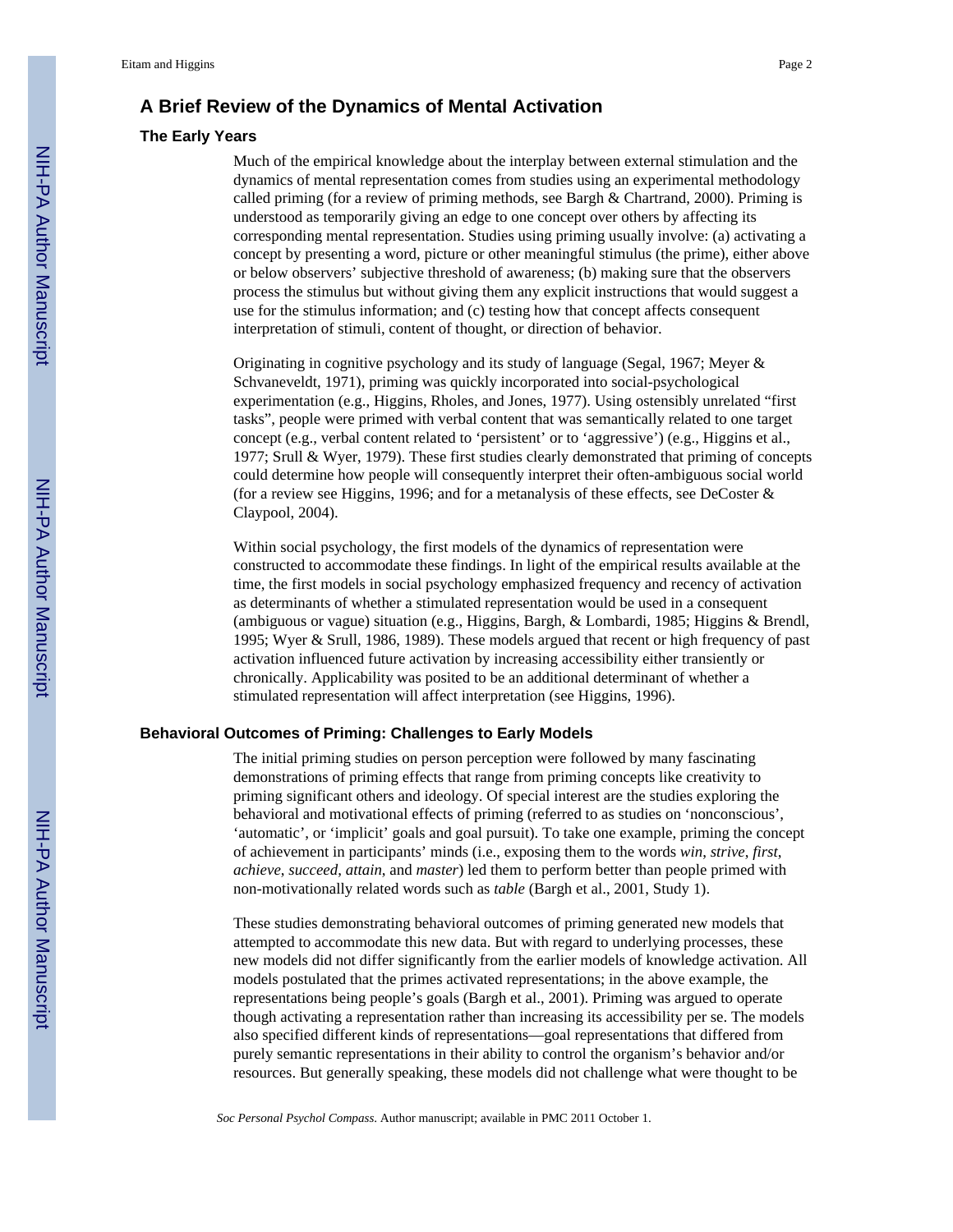# **A Brief Review of the Dynamics of Mental Activation**

#### **The Early Years**

Much of the empirical knowledge about the interplay between external stimulation and the dynamics of mental representation comes from studies using an experimental methodology called priming (for a review of priming methods, see Bargh & Chartrand, 2000). Priming is understood as temporarily giving an edge to one concept over others by affecting its corresponding mental representation. Studies using priming usually involve: (a) activating a concept by presenting a word, picture or other meaningful stimulus (the prime), either above or below observers' subjective threshold of awareness; (b) making sure that the observers process the stimulus but without giving them any explicit instructions that would suggest a use for the stimulus information; and (c) testing how that concept affects consequent interpretation of stimuli, content of thought, or direction of behavior.

Originating in cognitive psychology and its study of language (Segal, 1967; Meyer & Schvaneveldt, 1971), priming was quickly incorporated into social-psychological experimentation (e.g., Higgins, Rholes, and Jones, 1977). Using ostensibly unrelated "first tasks", people were primed with verbal content that was semantically related to one target concept (e.g., verbal content related to 'persistent' or to 'aggressive') (e.g., Higgins et al., 1977; Srull & Wyer, 1979). These first studies clearly demonstrated that priming of concepts could determine how people will consequently interpret their often-ambiguous social world (for a review see Higgins, 1996; and for a metanalysis of these effects, see DeCoster & Claypool, 2004).

Within social psychology, the first models of the dynamics of representation were constructed to accommodate these findings. In light of the empirical results available at the time, the first models in social psychology emphasized frequency and recency of activation as determinants of whether a stimulated representation would be used in a consequent (ambiguous or vague) situation (e.g., Higgins, Bargh, & Lombardi, 1985; Higgins & Brendl, 1995; Wyer & Srull, 1986, 1989). These models argued that recent or high frequency of past activation influenced future activation by increasing accessibility either transiently or chronically. Applicability was posited to be an additional determinant of whether a stimulated representation will affect interpretation (see Higgins, 1996).

#### **Behavioral Outcomes of Priming: Challenges to Early Models**

The initial priming studies on person perception were followed by many fascinating demonstrations of priming effects that range from priming concepts like creativity to priming significant others and ideology. Of special interest are the studies exploring the behavioral and motivational effects of priming (referred to as studies on 'nonconscious', 'automatic', or 'implicit' goals and goal pursuit). To take one example, priming the concept of achievement in participants' minds (i.e., exposing them to the words *win*, *strive*, *first*, *achieve*, *succeed*, *attain*, and *master*) led them to perform better than people primed with non-motivationally related words such as *table* (Bargh et al., 2001, Study 1).

These studies demonstrating behavioral outcomes of priming generated new models that attempted to accommodate this new data. But with regard to underlying processes, these new models did not differ significantly from the earlier models of knowledge activation. All models postulated that the primes activated representations; in the above example, the representations being people's goals (Bargh et al., 2001). Priming was argued to operate though activating a representation rather than increasing its accessibility per se. The models also specified different kinds of representations—goal representations that differed from purely semantic representations in their ability to control the organism's behavior and/or resources. But generally speaking, these models did not challenge what were thought to be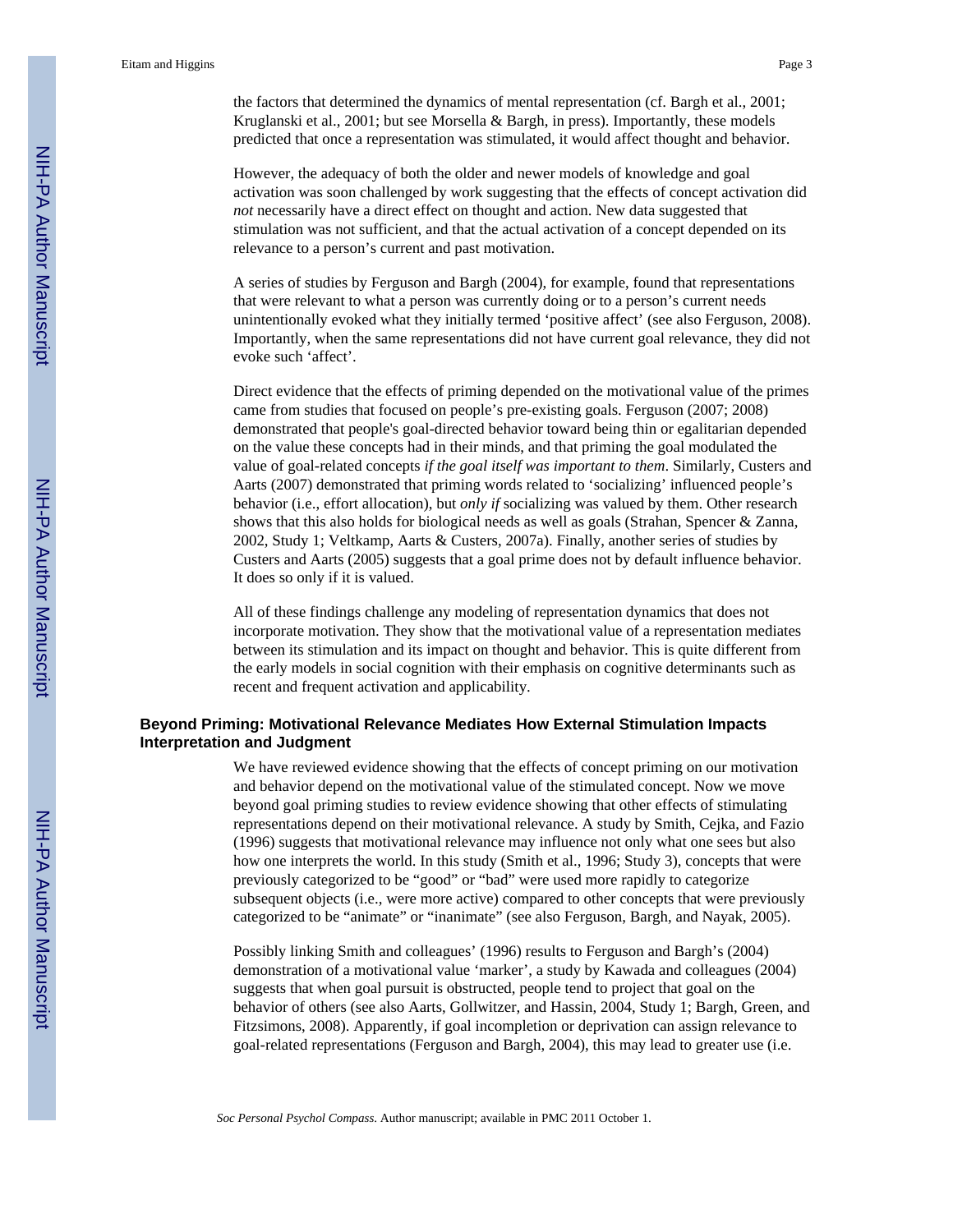the factors that determined the dynamics of mental representation (cf. Bargh et al., 2001; Kruglanski et al., 2001; but see Morsella & Bargh, in press). Importantly, these models predicted that once a representation was stimulated, it would affect thought and behavior.

However, the adequacy of both the older and newer models of knowledge and goal activation was soon challenged by work suggesting that the effects of concept activation did *not* necessarily have a direct effect on thought and action. New data suggested that stimulation was not sufficient, and that the actual activation of a concept depended on its relevance to a person's current and past motivation.

A series of studies by Ferguson and Bargh (2004), for example, found that representations that were relevant to what a person was currently doing or to a person's current needs unintentionally evoked what they initially termed 'positive affect' (see also Ferguson, 2008). Importantly, when the same representations did not have current goal relevance, they did not evoke such 'affect'.

Direct evidence that the effects of priming depended on the motivational value of the primes came from studies that focused on people's pre-existing goals. Ferguson (2007; 2008) demonstrated that people's goal-directed behavior toward being thin or egalitarian depended on the value these concepts had in their minds, and that priming the goal modulated the value of goal-related concepts *if the goal itself was important to them*. Similarly, Custers and Aarts (2007) demonstrated that priming words related to 'socializing' influenced people's behavior (i.e., effort allocation), but *only if* socializing was valued by them. Other research shows that this also holds for biological needs as well as goals (Strahan, Spencer & Zanna, 2002, Study 1; Veltkamp, Aarts & Custers, 2007a). Finally, another series of studies by Custers and Aarts (2005) suggests that a goal prime does not by default influence behavior. It does so only if it is valued.

All of these findings challenge any modeling of representation dynamics that does not incorporate motivation. They show that the motivational value of a representation mediates between its stimulation and its impact on thought and behavior. This is quite different from the early models in social cognition with their emphasis on cognitive determinants such as recent and frequent activation and applicability.

#### **Beyond Priming: Motivational Relevance Mediates How External Stimulation Impacts Interpretation and Judgment**

We have reviewed evidence showing that the effects of concept priming on our motivation and behavior depend on the motivational value of the stimulated concept. Now we move beyond goal priming studies to review evidence showing that other effects of stimulating representations depend on their motivational relevance. A study by Smith, Cejka, and Fazio (1996) suggests that motivational relevance may influence not only what one sees but also how one interprets the world. In this study (Smith et al., 1996; Study 3), concepts that were previously categorized to be "good" or "bad" were used more rapidly to categorize subsequent objects (i.e., were more active) compared to other concepts that were previously categorized to be "animate" or "inanimate" (see also Ferguson, Bargh, and Nayak, 2005).

Possibly linking Smith and colleagues' (1996) results to Ferguson and Bargh's (2004) demonstration of a motivational value 'marker', a study by Kawada and colleagues (2004) suggests that when goal pursuit is obstructed, people tend to project that goal on the behavior of others (see also Aarts, Gollwitzer, and Hassin, 2004, Study 1; Bargh, Green, and Fitzsimons, 2008). Apparently, if goal incompletion or deprivation can assign relevance to goal-related representations (Ferguson and Bargh, 2004), this may lead to greater use (i.e.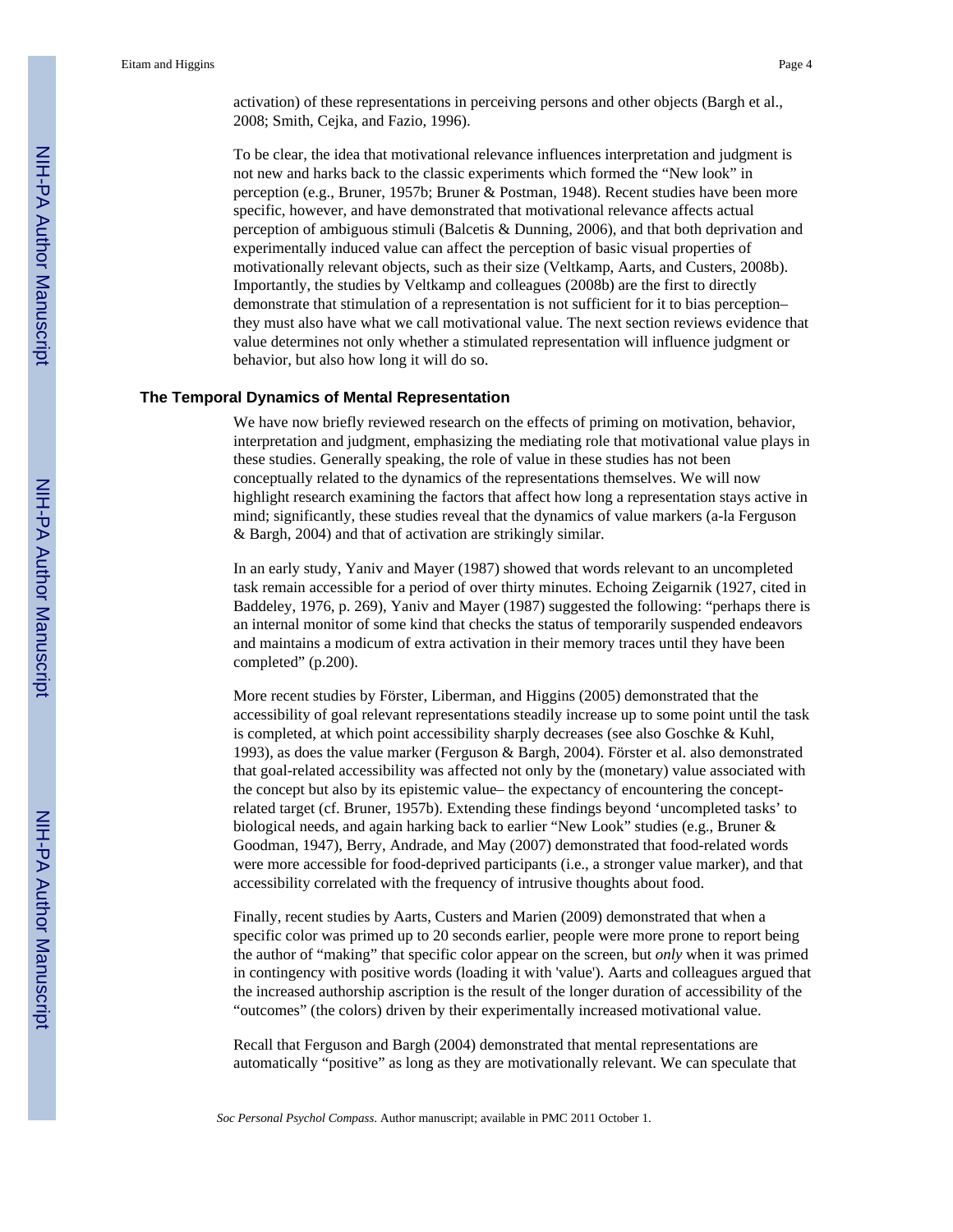activation) of these representations in perceiving persons and other objects (Bargh et al., 2008; Smith, Cejka, and Fazio, 1996).

To be clear, the idea that motivational relevance influences interpretation and judgment is not new and harks back to the classic experiments which formed the "New look" in perception (e.g., Bruner, 1957b; Bruner & Postman, 1948). Recent studies have been more specific, however, and have demonstrated that motivational relevance affects actual perception of ambiguous stimuli (Balcetis & Dunning, 2006), and that both deprivation and experimentally induced value can affect the perception of basic visual properties of motivationally relevant objects, such as their size (Veltkamp, Aarts, and Custers, 2008b). Importantly, the studies by Veltkamp and colleagues (2008b) are the first to directly demonstrate that stimulation of a representation is not sufficient for it to bias perception– they must also have what we call motivational value. The next section reviews evidence that value determines not only whether a stimulated representation will influence judgment or behavior, but also how long it will do so.

#### **The Temporal Dynamics of Mental Representation**

We have now briefly reviewed research on the effects of priming on motivation, behavior, interpretation and judgment, emphasizing the mediating role that motivational value plays in these studies. Generally speaking, the role of value in these studies has not been conceptually related to the dynamics of the representations themselves. We will now highlight research examining the factors that affect how long a representation stays active in mind; significantly, these studies reveal that the dynamics of value markers (a-la Ferguson & Bargh, 2004) and that of activation are strikingly similar.

In an early study, Yaniv and Mayer (1987) showed that words relevant to an uncompleted task remain accessible for a period of over thirty minutes. Echoing Zeigarnik (1927, cited in Baddeley, 1976, p. 269), Yaniv and Mayer (1987) suggested the following: "perhaps there is an internal monitor of some kind that checks the status of temporarily suspended endeavors and maintains a modicum of extra activation in their memory traces until they have been completed" (p.200).

More recent studies by Förster, Liberman, and Higgins (2005) demonstrated that the accessibility of goal relevant representations steadily increase up to some point until the task is completed, at which point accessibility sharply decreases (see also Goschke & Kuhl, 1993), as does the value marker (Ferguson & Bargh, 2004). Förster et al. also demonstrated that goal-related accessibility was affected not only by the (monetary) value associated with the concept but also by its epistemic value– the expectancy of encountering the conceptrelated target (cf. Bruner, 1957b). Extending these findings beyond 'uncompleted tasks' to biological needs, and again harking back to earlier "New Look" studies (e.g., Bruner & Goodman, 1947), Berry, Andrade, and May (2007) demonstrated that food-related words were more accessible for food-deprived participants (i.e., a stronger value marker), and that accessibility correlated with the frequency of intrusive thoughts about food.

Finally, recent studies by Aarts, Custers and Marien (2009) demonstrated that when a specific color was primed up to 20 seconds earlier, people were more prone to report being the author of "making" that specific color appear on the screen, but *only* when it was primed in contingency with positive words (loading it with 'value'). Aarts and colleagues argued that the increased authorship ascription is the result of the longer duration of accessibility of the "outcomes" (the colors) driven by their experimentally increased motivational value.

Recall that Ferguson and Bargh (2004) demonstrated that mental representations are automatically "positive" as long as they are motivationally relevant. We can speculate that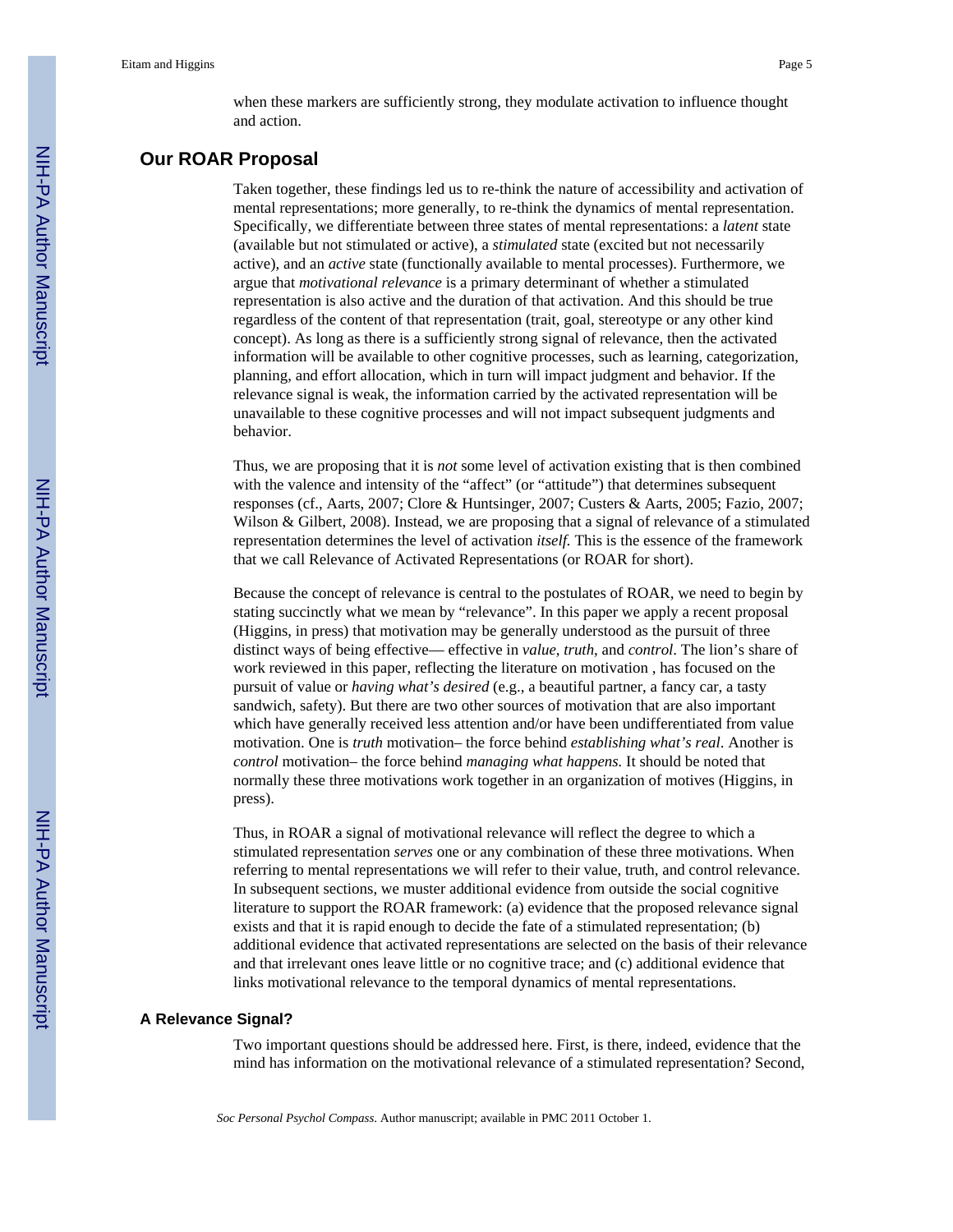# **Our ROAR Proposal**

and action.

Taken together, these findings led us to re-think the nature of accessibility and activation of mental representations; more generally, to re-think the dynamics of mental representation. Specifically, we differentiate between three states of mental representations: a *latent* state (available but not stimulated or active), a *stimulated* state (excited but not necessarily active), and an *active* state (functionally available to mental processes). Furthermore, we argue that *motivational relevance* is a primary determinant of whether a stimulated representation is also active and the duration of that activation. And this should be true regardless of the content of that representation (trait, goal, stereotype or any other kind concept). As long as there is a sufficiently strong signal of relevance, then the activated information will be available to other cognitive processes, such as learning, categorization, planning, and effort allocation, which in turn will impact judgment and behavior. If the relevance signal is weak, the information carried by the activated representation will be unavailable to these cognitive processes and will not impact subsequent judgments and behavior.

Thus, we are proposing that it is *not* some level of activation existing that is then combined with the valence and intensity of the "affect" (or "attitude") that determines subsequent responses (cf., Aarts, 2007; Clore & Huntsinger, 2007; Custers & Aarts, 2005; Fazio, 2007; Wilson & Gilbert, 2008). Instead, we are proposing that a signal of relevance of a stimulated representation determines the level of activation *itself.* This is the essence of the framework that we call Relevance of Activated Representations (or ROAR for short).

Because the concept of relevance is central to the postulates of ROAR, we need to begin by stating succinctly what we mean by "relevance". In this paper we apply a recent proposal (Higgins, in press) that motivation may be generally understood as the pursuit of three distinct ways of being effective— effective in *value*, *truth*, and *control*. The lion's share of work reviewed in this paper, reflecting the literature on motivation , has focused on the pursuit of value or *having what's desired* (e.g., a beautiful partner, a fancy car, a tasty sandwich, safety). But there are two other sources of motivation that are also important which have generally received less attention and/or have been undifferentiated from value motivation. One is *truth* motivation– the force behind *establishing what's real*. Another is *control* motivation– the force behind *managing what happens.* It should be noted that normally these three motivations work together in an organization of motives (Higgins, in press).

Thus, in ROAR a signal of motivational relevance will reflect the degree to which a stimulated representation *serves* one or any combination of these three motivations. When referring to mental representations we will refer to their value, truth, and control relevance. In subsequent sections, we muster additional evidence from outside the social cognitive literature to support the ROAR framework: (a) evidence that the proposed relevance signal exists and that it is rapid enough to decide the fate of a stimulated representation; (b) additional evidence that activated representations are selected on the basis of their relevance and that irrelevant ones leave little or no cognitive trace; and (c) additional evidence that links motivational relevance to the temporal dynamics of mental representations.

#### **A Relevance Signal?**

Two important questions should be addressed here. First, is there, indeed, evidence that the mind has information on the motivational relevance of a stimulated representation? Second,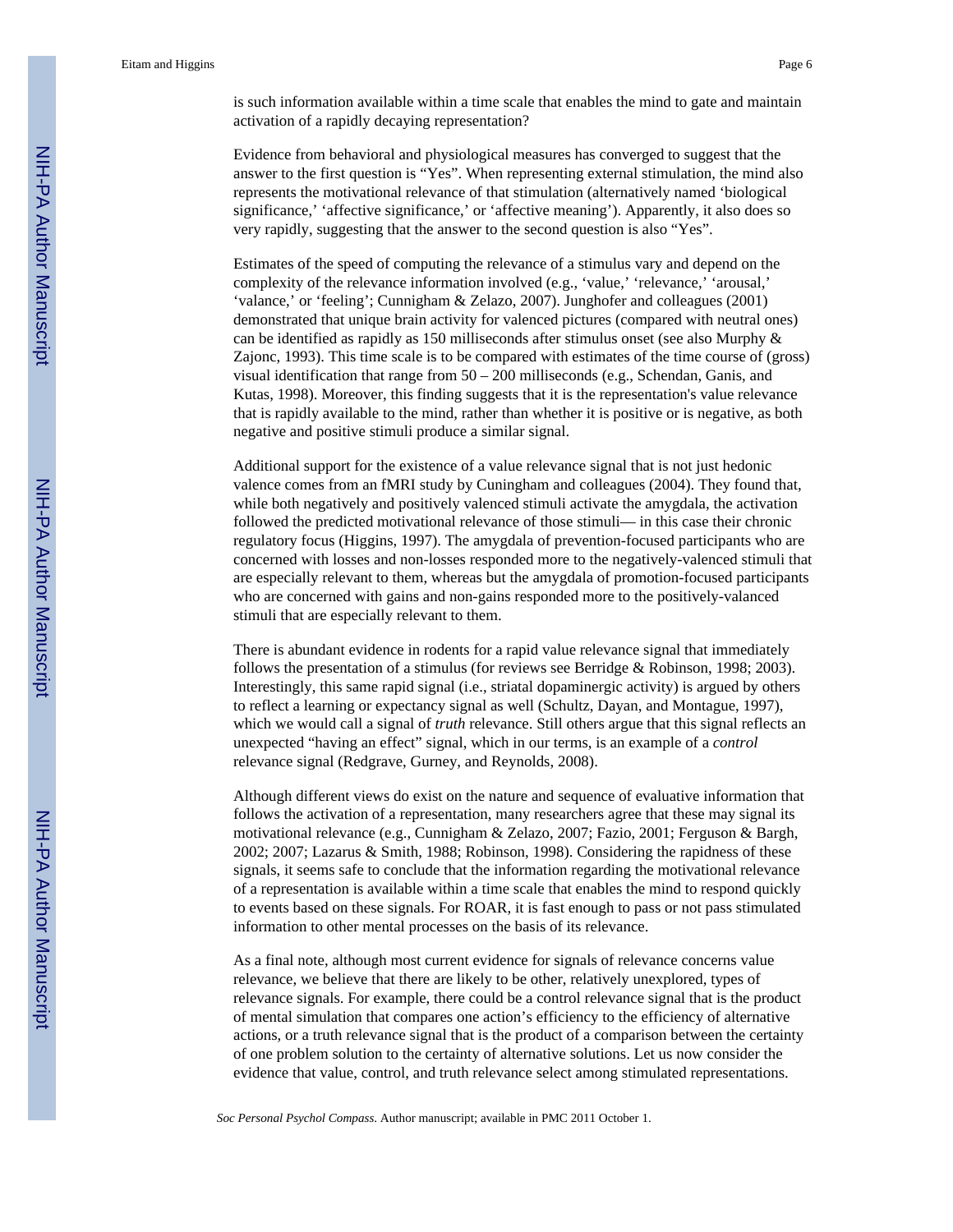is such information available within a time scale that enables the mind to gate and maintain activation of a rapidly decaying representation?

Evidence from behavioral and physiological measures has converged to suggest that the answer to the first question is "Yes". When representing external stimulation, the mind also represents the motivational relevance of that stimulation (alternatively named 'biological significance,' 'affective significance,' or 'affective meaning'). Apparently, it also does so very rapidly, suggesting that the answer to the second question is also "Yes".

Estimates of the speed of computing the relevance of a stimulus vary and depend on the complexity of the relevance information involved (e.g., 'value,' 'relevance,' 'arousal,' 'valance,' or 'feeling'; Cunnigham & Zelazo, 2007). Junghofer and colleagues (2001) demonstrated that unique brain activity for valenced pictures (compared with neutral ones) can be identified as rapidly as 150 milliseconds after stimulus onset (see also Murphy & Zajonc, 1993). This time scale is to be compared with estimates of the time course of (gross) visual identification that range from 50 – 200 milliseconds (e.g., Schendan, Ganis, and Kutas, 1998). Moreover, this finding suggests that it is the representation's value relevance that is rapidly available to the mind, rather than whether it is positive or is negative, as both negative and positive stimuli produce a similar signal.

Additional support for the existence of a value relevance signal that is not just hedonic valence comes from an fMRI study by Cuningham and colleagues (2004). They found that, while both negatively and positively valenced stimuli activate the amygdala, the activation followed the predicted motivational relevance of those stimuli— in this case their chronic regulatory focus (Higgins, 1997). The amygdala of prevention-focused participants who are concerned with losses and non-losses responded more to the negatively-valenced stimuli that are especially relevant to them, whereas but the amygdala of promotion-focused participants who are concerned with gains and non-gains responded more to the positively-valanced stimuli that are especially relevant to them.

There is abundant evidence in rodents for a rapid value relevance signal that immediately follows the presentation of a stimulus (for reviews see Berridge & Robinson, 1998; 2003). Interestingly, this same rapid signal (i.e., striatal dopaminergic activity) is argued by others to reflect a learning or expectancy signal as well (Schultz, Dayan, and Montague, 1997), which we would call a signal of *truth* relevance. Still others argue that this signal reflects an unexpected "having an effect" signal, which in our terms, is an example of a *control* relevance signal (Redgrave, Gurney, and Reynolds, 2008).

Although different views do exist on the nature and sequence of evaluative information that follows the activation of a representation, many researchers agree that these may signal its motivational relevance (e.g., Cunnigham & Zelazo, 2007; Fazio, 2001; Ferguson & Bargh, 2002; 2007; Lazarus & Smith, 1988; Robinson, 1998). Considering the rapidness of these signals, it seems safe to conclude that the information regarding the motivational relevance of a representation is available within a time scale that enables the mind to respond quickly to events based on these signals. For ROAR, it is fast enough to pass or not pass stimulated information to other mental processes on the basis of its relevance.

As a final note, although most current evidence for signals of relevance concerns value relevance, we believe that there are likely to be other, relatively unexplored, types of relevance signals. For example, there could be a control relevance signal that is the product of mental simulation that compares one action's efficiency to the efficiency of alternative actions, or a truth relevance signal that is the product of a comparison between the certainty of one problem solution to the certainty of alternative solutions. Let us now consider the evidence that value, control, and truth relevance select among stimulated representations.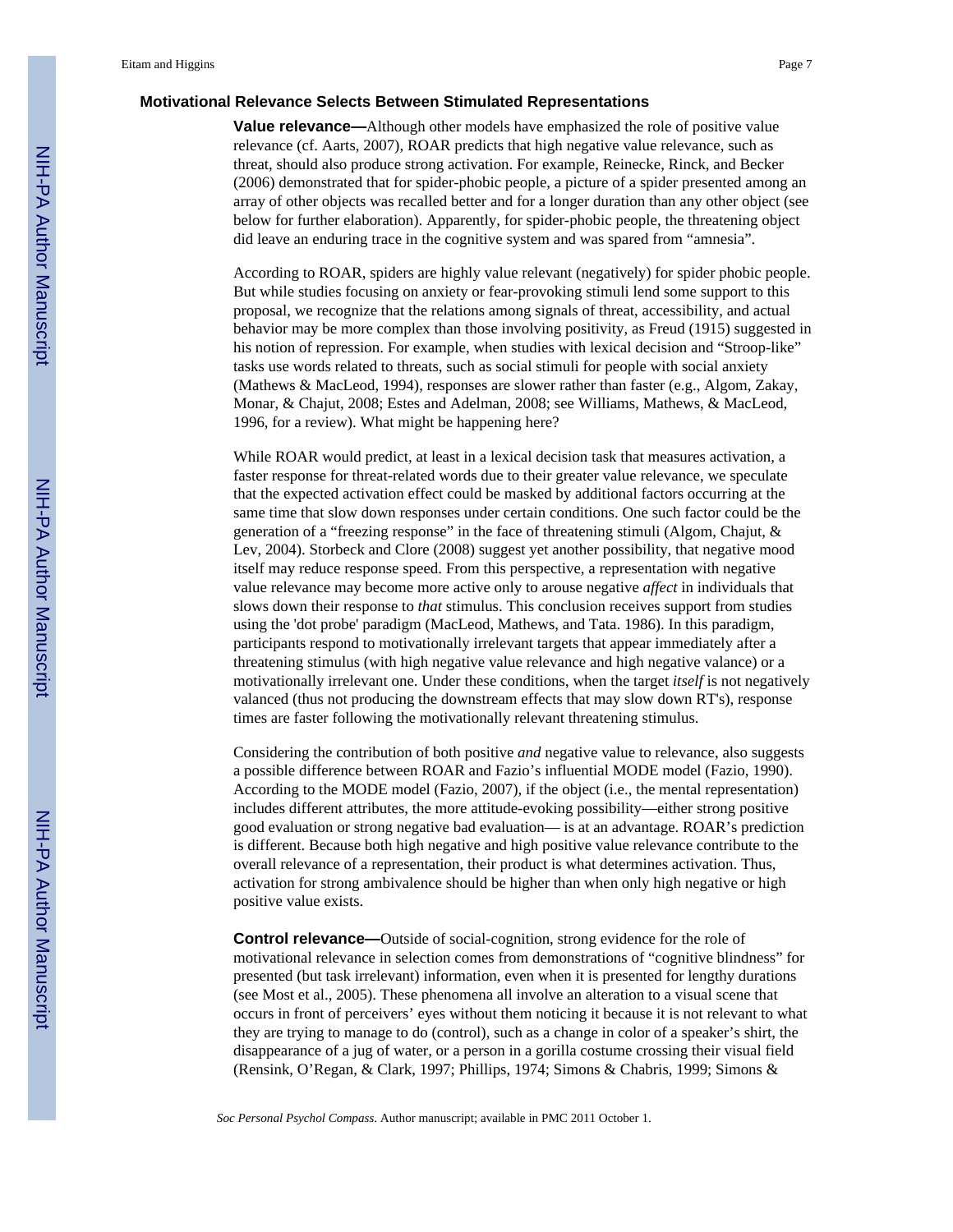#### **Motivational Relevance Selects Between Stimulated Representations**

**Value relevance—**Although other models have emphasized the role of positive value relevance (cf. Aarts, 2007), ROAR predicts that high negative value relevance, such as threat, should also produce strong activation. For example, Reinecke, Rinck, and Becker (2006) demonstrated that for spider-phobic people, a picture of a spider presented among an array of other objects was recalled better and for a longer duration than any other object (see below for further elaboration). Apparently, for spider-phobic people, the threatening object did leave an enduring trace in the cognitive system and was spared from "amnesia".

According to ROAR, spiders are highly value relevant (negatively) for spider phobic people. But while studies focusing on anxiety or fear-provoking stimuli lend some support to this proposal, we recognize that the relations among signals of threat, accessibility, and actual behavior may be more complex than those involving positivity, as Freud (1915) suggested in his notion of repression. For example, when studies with lexical decision and "Stroop-like" tasks use words related to threats, such as social stimuli for people with social anxiety (Mathews & MacLeod, 1994), responses are slower rather than faster (e.g., Algom, Zakay, Monar, & Chajut, 2008; Estes and Adelman, 2008; see Williams, Mathews, & MacLeod, 1996, for a review). What might be happening here?

While ROAR would predict, at least in a lexical decision task that measures activation, a faster response for threat-related words due to their greater value relevance, we speculate that the expected activation effect could be masked by additional factors occurring at the same time that slow down responses under certain conditions. One such factor could be the generation of a "freezing response" in the face of threatening stimuli (Algom, Chajut, & Lev, 2004). Storbeck and Clore (2008) suggest yet another possibility, that negative mood itself may reduce response speed. From this perspective, a representation with negative value relevance may become more active only to arouse negative *affect* in individuals that slows down their response to *that* stimulus. This conclusion receives support from studies using the 'dot probe' paradigm (MacLeod, Mathews, and Tata. 1986). In this paradigm, participants respond to motivationally irrelevant targets that appear immediately after a threatening stimulus (with high negative value relevance and high negative valance) or a motivationally irrelevant one. Under these conditions, when the target *itself* is not negatively valanced (thus not producing the downstream effects that may slow down RT's), response times are faster following the motivationally relevant threatening stimulus.

Considering the contribution of both positive *and* negative value to relevance, also suggests a possible difference between ROAR and Fazio's influential MODE model (Fazio, 1990). According to the MODE model (Fazio, 2007), if the object (i.e., the mental representation) includes different attributes, the more attitude-evoking possibility—either strong positive good evaluation or strong negative bad evaluation— is at an advantage. ROAR's prediction is different. Because both high negative and high positive value relevance contribute to the overall relevance of a representation, their product is what determines activation. Thus, activation for strong ambivalence should be higher than when only high negative or high positive value exists.

**Control relevance—**Outside of social-cognition, strong evidence for the role of motivational relevance in selection comes from demonstrations of "cognitive blindness" for presented (but task irrelevant) information, even when it is presented for lengthy durations (see Most et al., 2005). These phenomena all involve an alteration to a visual scene that occurs in front of perceivers' eyes without them noticing it because it is not relevant to what they are trying to manage to do (control), such as a change in color of a speaker's shirt, the disappearance of a jug of water, or a person in a gorilla costume crossing their visual field (Rensink, O'Regan, & Clark, 1997; Phillips, 1974; Simons & Chabris, 1999; Simons &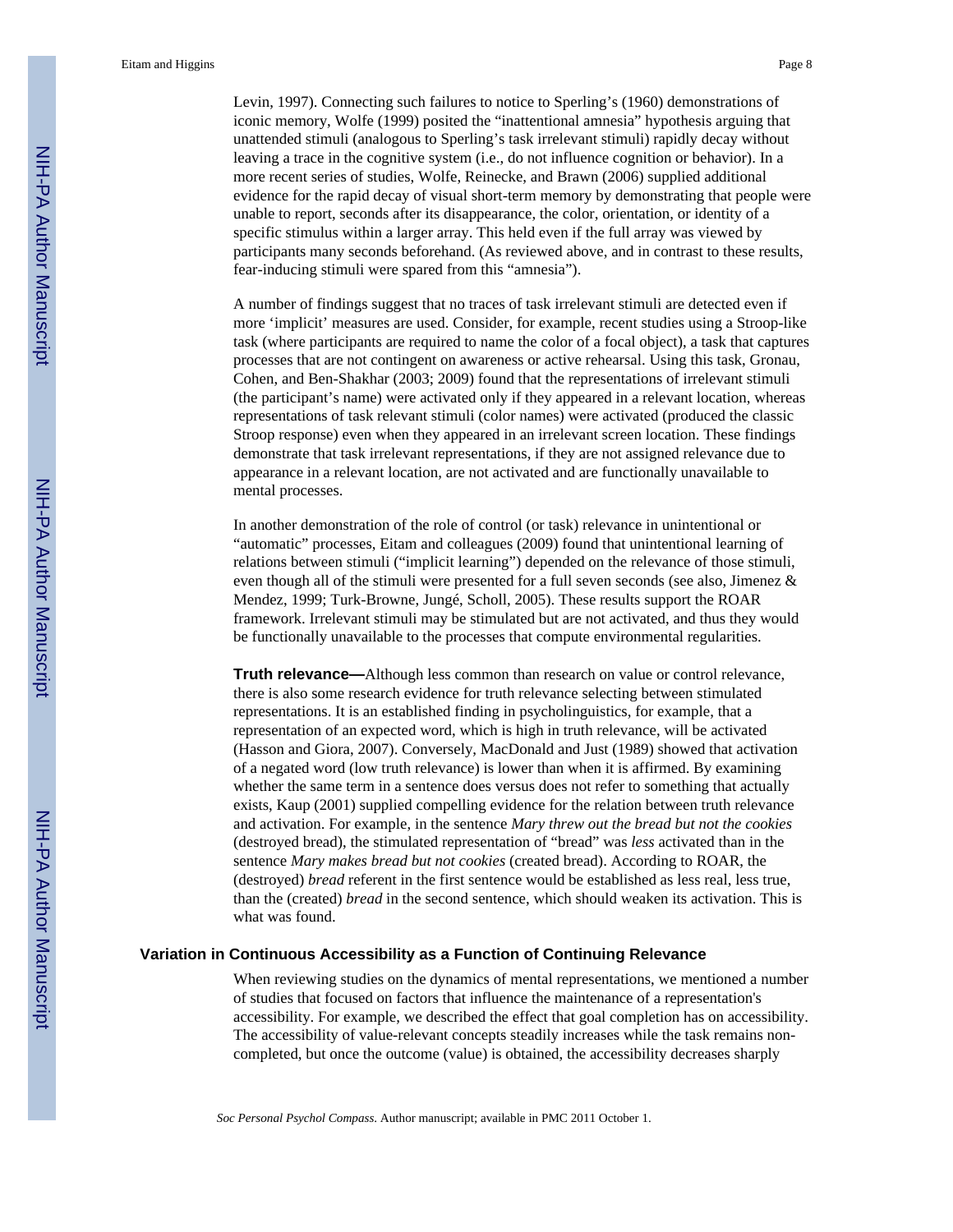Eitam and Higgins Page 8

Levin, 1997). Connecting such failures to notice to Sperling's (1960) demonstrations of iconic memory, Wolfe (1999) posited the "inattentional amnesia" hypothesis arguing that unattended stimuli (analogous to Sperling's task irrelevant stimuli) rapidly decay without leaving a trace in the cognitive system (i.e., do not influence cognition or behavior). In a more recent series of studies, Wolfe, Reinecke, and Brawn (2006) supplied additional evidence for the rapid decay of visual short-term memory by demonstrating that people were unable to report, seconds after its disappearance, the color, orientation, or identity of a specific stimulus within a larger array. This held even if the full array was viewed by participants many seconds beforehand. (As reviewed above, and in contrast to these results, fear-inducing stimuli were spared from this "amnesia").

A number of findings suggest that no traces of task irrelevant stimuli are detected even if more 'implicit' measures are used. Consider, for example, recent studies using a Stroop-like task (where participants are required to name the color of a focal object), a task that captures processes that are not contingent on awareness or active rehearsal. Using this task, Gronau, Cohen, and Ben-Shakhar (2003; 2009) found that the representations of irrelevant stimuli (the participant's name) were activated only if they appeared in a relevant location, whereas representations of task relevant stimuli (color names) were activated (produced the classic Stroop response) even when they appeared in an irrelevant screen location. These findings demonstrate that task irrelevant representations, if they are not assigned relevance due to appearance in a relevant location, are not activated and are functionally unavailable to mental processes.

In another demonstration of the role of control (or task) relevance in unintentional or "automatic" processes, Eitam and colleagues (2009) found that unintentional learning of relations between stimuli ("implicit learning") depended on the relevance of those stimuli, even though all of the stimuli were presented for a full seven seconds (see also, Jimenez & Mendez, 1999; Turk-Browne, Jungé, Scholl, 2005). These results support the ROAR framework. Irrelevant stimuli may be stimulated but are not activated, and thus they would be functionally unavailable to the processes that compute environmental regularities.

**Truth relevance—**Although less common than research on value or control relevance, there is also some research evidence for truth relevance selecting between stimulated representations. It is an established finding in psycholinguistics, for example, that a representation of an expected word, which is high in truth relevance, will be activated (Hasson and Giora, 2007). Conversely, MacDonald and Just (1989) showed that activation of a negated word (low truth relevance) is lower than when it is affirmed. By examining whether the same term in a sentence does versus does not refer to something that actually exists, Kaup (2001) supplied compelling evidence for the relation between truth relevance and activation. For example, in the sentence *Mary threw out the bread but not the cookies* (destroyed bread), the stimulated representation of "bread" was *less* activated than in the sentence *Mary makes bread but not cookies* (created bread). According to ROAR, the (destroyed) *bread* referent in the first sentence would be established as less real, less true, than the (created) *bread* in the second sentence, which should weaken its activation. This is what was found.

# **Variation in Continuous Accessibility as a Function of Continuing Relevance**

When reviewing studies on the dynamics of mental representations, we mentioned a number of studies that focused on factors that influence the maintenance of a representation's accessibility. For example, we described the effect that goal completion has on accessibility. The accessibility of value-relevant concepts steadily increases while the task remains noncompleted, but once the outcome (value) is obtained, the accessibility decreases sharply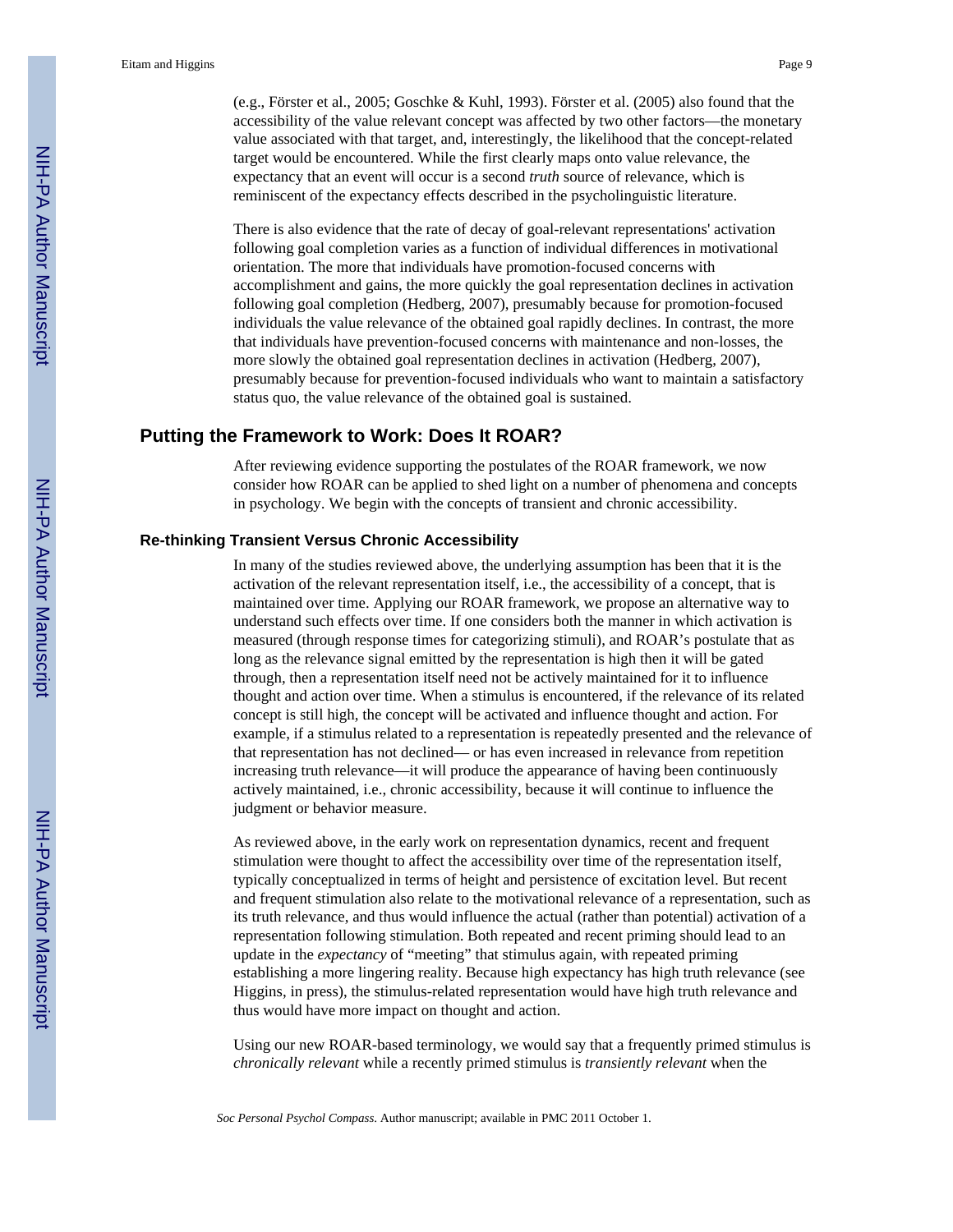(e.g., Förster et al., 2005; Goschke & Kuhl, 1993). Förster et al. (2005) also found that the accessibility of the value relevant concept was affected by two other factors—the monetary value associated with that target, and, interestingly, the likelihood that the concept-related target would be encountered. While the first clearly maps onto value relevance, the expectancy that an event will occur is a second *truth* source of relevance, which is reminiscent of the expectancy effects described in the psycholinguistic literature.

There is also evidence that the rate of decay of goal-relevant representations' activation following goal completion varies as a function of individual differences in motivational orientation. The more that individuals have promotion-focused concerns with accomplishment and gains, the more quickly the goal representation declines in activation following goal completion (Hedberg, 2007), presumably because for promotion-focused individuals the value relevance of the obtained goal rapidly declines. In contrast, the more that individuals have prevention-focused concerns with maintenance and non-losses, the more slowly the obtained goal representation declines in activation (Hedberg, 2007), presumably because for prevention-focused individuals who want to maintain a satisfactory status quo, the value relevance of the obtained goal is sustained.

# **Putting the Framework to Work: Does It ROAR?**

After reviewing evidence supporting the postulates of the ROAR framework, we now consider how ROAR can be applied to shed light on a number of phenomena and concepts in psychology. We begin with the concepts of transient and chronic accessibility.

#### **Re-thinking Transient Versus Chronic Accessibility**

In many of the studies reviewed above, the underlying assumption has been that it is the activation of the relevant representation itself, i.e., the accessibility of a concept, that is maintained over time. Applying our ROAR framework, we propose an alternative way to understand such effects over time. If one considers both the manner in which activation is measured (through response times for categorizing stimuli), and ROAR's postulate that as long as the relevance signal emitted by the representation is high then it will be gated through, then a representation itself need not be actively maintained for it to influence thought and action over time. When a stimulus is encountered, if the relevance of its related concept is still high, the concept will be activated and influence thought and action. For example, if a stimulus related to a representation is repeatedly presented and the relevance of that representation has not declined— or has even increased in relevance from repetition increasing truth relevance—it will produce the appearance of having been continuously actively maintained, i.e., chronic accessibility, because it will continue to influence the judgment or behavior measure.

As reviewed above, in the early work on representation dynamics, recent and frequent stimulation were thought to affect the accessibility over time of the representation itself, typically conceptualized in terms of height and persistence of excitation level. But recent and frequent stimulation also relate to the motivational relevance of a representation, such as its truth relevance, and thus would influence the actual (rather than potential) activation of a representation following stimulation. Both repeated and recent priming should lead to an update in the *expectancy* of "meeting" that stimulus again, with repeated priming establishing a more lingering reality. Because high expectancy has high truth relevance (see Higgins, in press), the stimulus-related representation would have high truth relevance and thus would have more impact on thought and action.

Using our new ROAR-based terminology, we would say that a frequently primed stimulus is *chronically relevant* while a recently primed stimulus is *transiently relevant* when the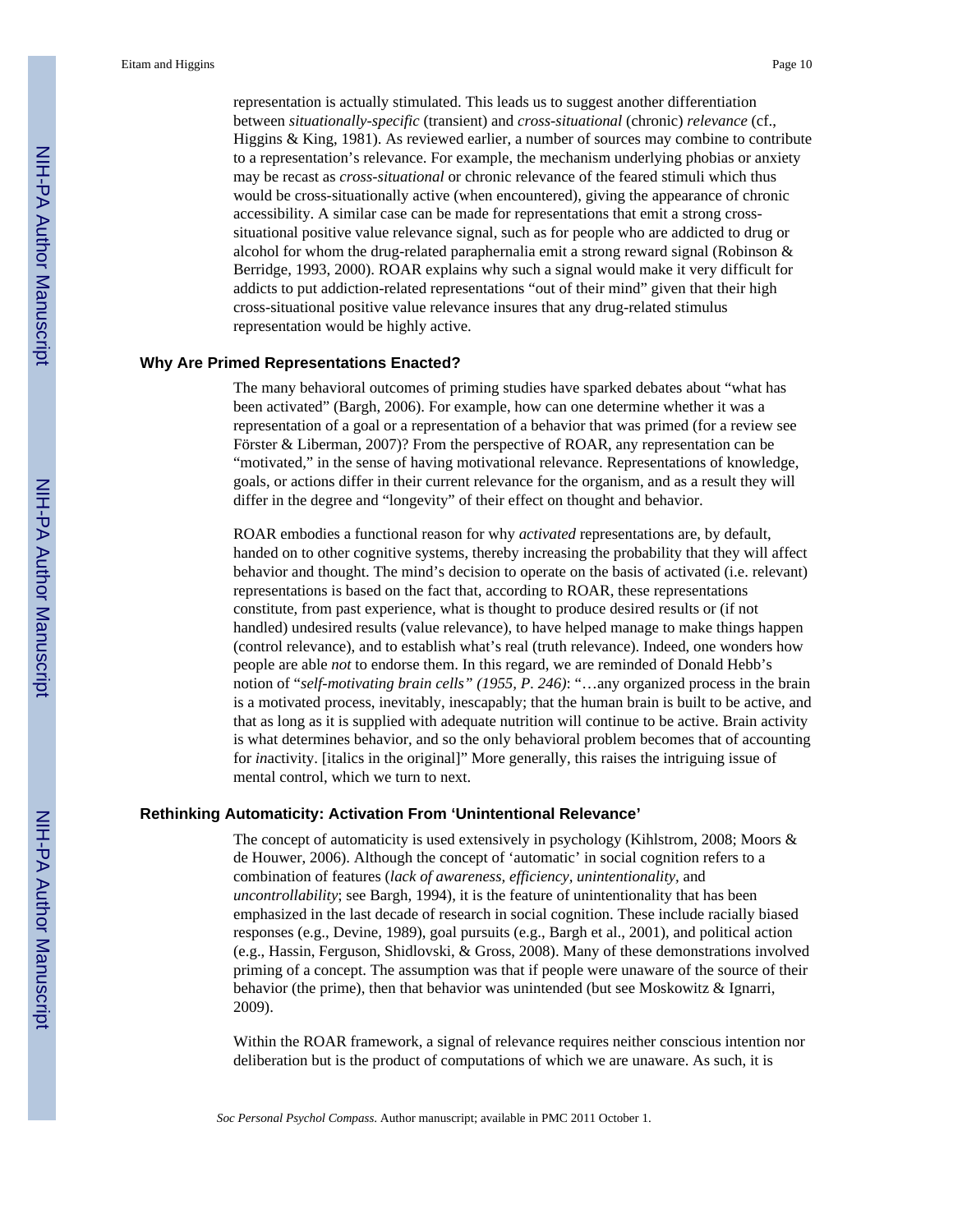representation is actually stimulated. This leads us to suggest another differentiation between *situationally-specific* (transient) and *cross-situational* (chronic) *relevance* (cf., Higgins & King, 1981). As reviewed earlier, a number of sources may combine to contribute to a representation's relevance. For example, the mechanism underlying phobias or anxiety may be recast as *cross-situational* or chronic relevance of the feared stimuli which thus would be cross-situationally active (when encountered), giving the appearance of chronic accessibility. A similar case can be made for representations that emit a strong crosssituational positive value relevance signal, such as for people who are addicted to drug or alcohol for whom the drug-related paraphernalia emit a strong reward signal (Robinson & Berridge, 1993, 2000). ROAR explains why such a signal would make it very difficult for addicts to put addiction-related representations "out of their mind" given that their high cross-situational positive value relevance insures that any drug-related stimulus representation would be highly active.

#### **Why Are Primed Representations Enacted?**

The many behavioral outcomes of priming studies have sparked debates about "what has been activated" (Bargh, 2006). For example, how can one determine whether it was a representation of a goal or a representation of a behavior that was primed (for a review see Förster & Liberman, 2007)? From the perspective of ROAR, any representation can be "motivated," in the sense of having motivational relevance. Representations of knowledge, goals, or actions differ in their current relevance for the organism, and as a result they will differ in the degree and "longevity" of their effect on thought and behavior.

ROAR embodies a functional reason for why *activated* representations are, by default, handed on to other cognitive systems, thereby increasing the probability that they will affect behavior and thought. The mind's decision to operate on the basis of activated (i.e. relevant) representations is based on the fact that, according to ROAR, these representations constitute, from past experience, what is thought to produce desired results or (if not handled) undesired results (value relevance), to have helped manage to make things happen (control relevance), and to establish what's real (truth relevance). Indeed, one wonders how people are able *not* to endorse them. In this regard, we are reminded of Donald Hebb's notion of "*self-motivating brain cells" (1955, P. 246)*: "…any organized process in the brain is a motivated process, inevitably, inescapably; that the human brain is built to be active, and that as long as it is supplied with adequate nutrition will continue to be active. Brain activity is what determines behavior, and so the only behavioral problem becomes that of accounting for *in*activity. [italics in the original]" More generally, this raises the intriguing issue of mental control, which we turn to next.

#### **Rethinking Automaticity: Activation From 'Unintentional Relevance'**

The concept of automaticity is used extensively in psychology (Kihlstrom, 2008; Moors & de Houwer, 2006). Although the concept of 'automatic' in social cognition refers to a combination of features (*lack of awareness, efficiency, unintentionality,* and *uncontrollability*; see Bargh, 1994), it is the feature of unintentionality that has been emphasized in the last decade of research in social cognition. These include racially biased responses (e.g., Devine, 1989), goal pursuits (e.g., Bargh et al., 2001), and political action (e.g., Hassin, Ferguson, Shidlovski, & Gross, 2008). Many of these demonstrations involved priming of a concept. The assumption was that if people were unaware of the source of their behavior (the prime), then that behavior was unintended (but see Moskowitz & Ignarri, 2009).

Within the ROAR framework, a signal of relevance requires neither conscious intention nor deliberation but is the product of computations of which we are unaware. As such, it is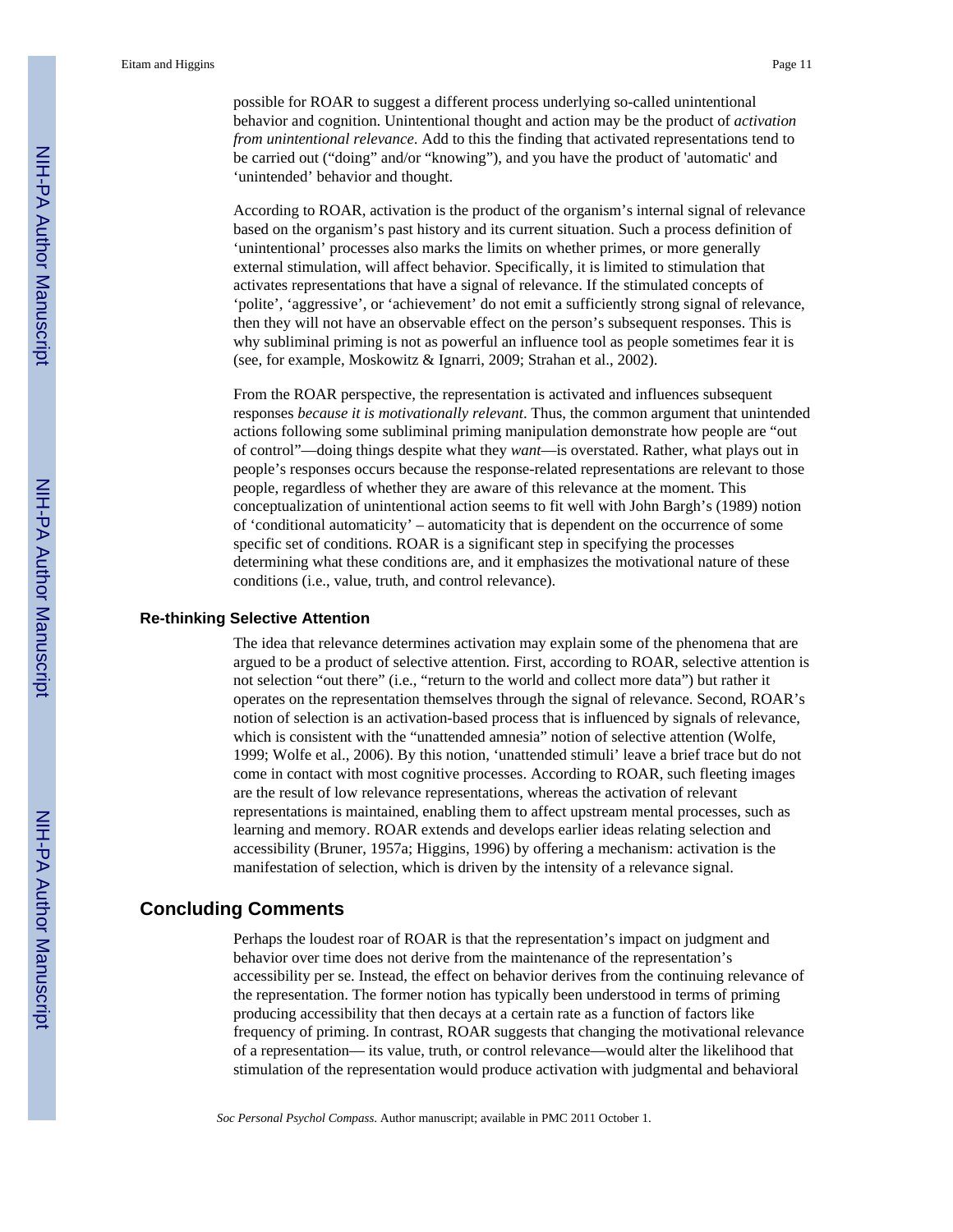possible for ROAR to suggest a different process underlying so-called unintentional behavior and cognition. Unintentional thought and action may be the product of *activation from unintentional relevance*. Add to this the finding that activated representations tend to be carried out ("doing" and/or "knowing"), and you have the product of 'automatic' and 'unintended' behavior and thought.

According to ROAR, activation is the product of the organism's internal signal of relevance based on the organism's past history and its current situation. Such a process definition of 'unintentional' processes also marks the limits on whether primes, or more generally external stimulation, will affect behavior. Specifically, it is limited to stimulation that activates representations that have a signal of relevance. If the stimulated concepts of 'polite', 'aggressive', or 'achievement' do not emit a sufficiently strong signal of relevance, then they will not have an observable effect on the person's subsequent responses. This is why subliminal priming is not as powerful an influence tool as people sometimes fear it is (see, for example, Moskowitz & Ignarri, 2009; Strahan et al., 2002).

From the ROAR perspective, the representation is activated and influences subsequent responses *because it is motivationally relevant*. Thus, the common argument that unintended actions following some subliminal priming manipulation demonstrate how people are "out of control"—doing things despite what they *want*—is overstated. Rather, what plays out in people's responses occurs because the response-related representations are relevant to those people, regardless of whether they are aware of this relevance at the moment. This conceptualization of unintentional action seems to fit well with John Bargh's (1989) notion of 'conditional automaticity' – automaticity that is dependent on the occurrence of some specific set of conditions. ROAR is a significant step in specifying the processes determining what these conditions are, and it emphasizes the motivational nature of these conditions (i.e., value, truth, and control relevance).

#### **Re-thinking Selective Attention**

The idea that relevance determines activation may explain some of the phenomena that are argued to be a product of selective attention. First, according to ROAR, selective attention is not selection "out there" (i.e., "return to the world and collect more data") but rather it operates on the representation themselves through the signal of relevance. Second, ROAR's notion of selection is an activation-based process that is influenced by signals of relevance, which is consistent with the "unattended amnesia" notion of selective attention (Wolfe, 1999; Wolfe et al., 2006). By this notion, 'unattended stimuli' leave a brief trace but do not come in contact with most cognitive processes. According to ROAR, such fleeting images are the result of low relevance representations, whereas the activation of relevant representations is maintained, enabling them to affect upstream mental processes, such as learning and memory. ROAR extends and develops earlier ideas relating selection and accessibility (Bruner, 1957a; Higgins, 1996) by offering a mechanism: activation is the manifestation of selection, which is driven by the intensity of a relevance signal.

# **Concluding Comments**

Perhaps the loudest roar of ROAR is that the representation's impact on judgment and behavior over time does not derive from the maintenance of the representation's accessibility per se. Instead, the effect on behavior derives from the continuing relevance of the representation. The former notion has typically been understood in terms of priming producing accessibility that then decays at a certain rate as a function of factors like frequency of priming. In contrast, ROAR suggests that changing the motivational relevance of a representation— its value, truth, or control relevance—would alter the likelihood that stimulation of the representation would produce activation with judgmental and behavioral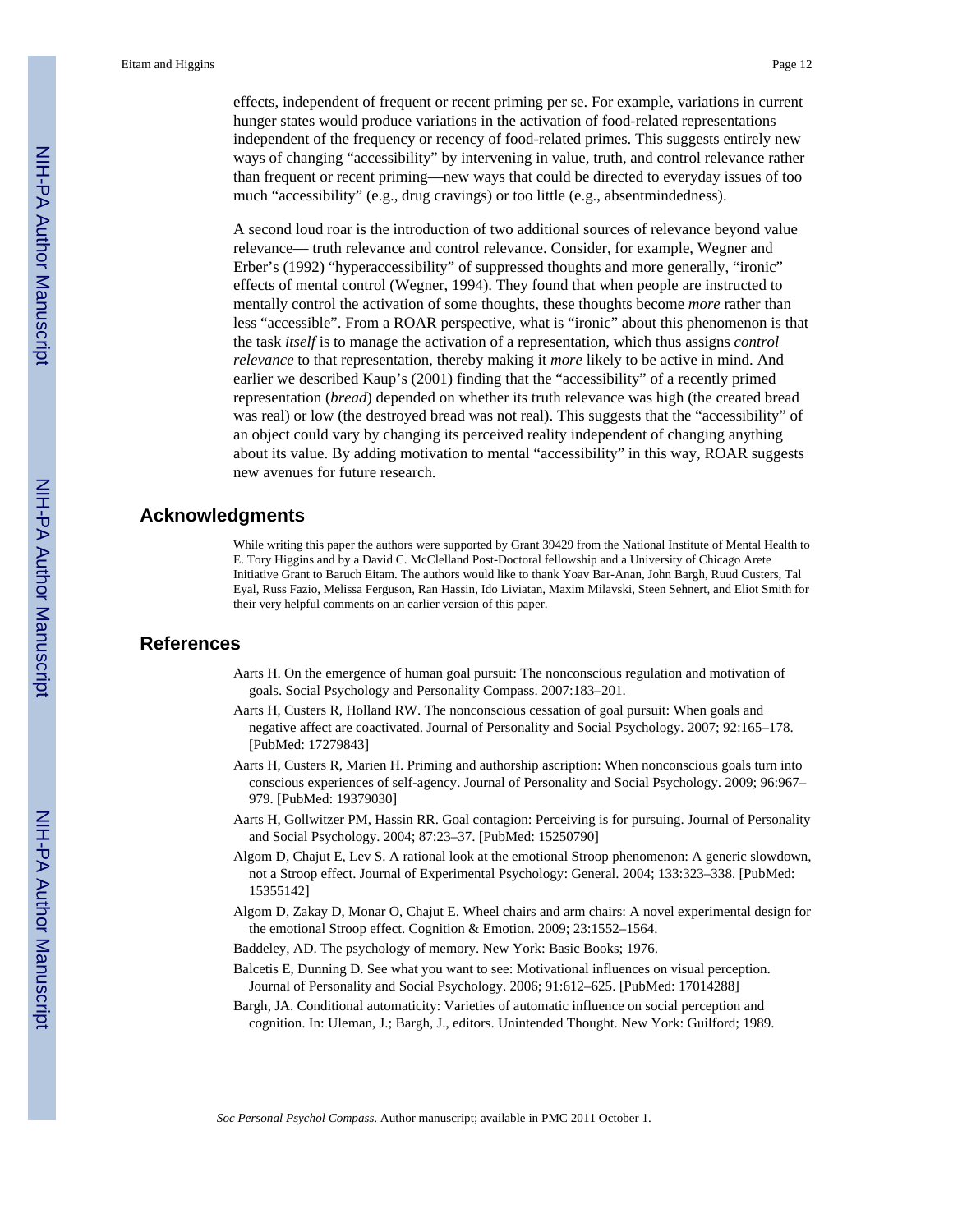effects, independent of frequent or recent priming per se. For example, variations in current hunger states would produce variations in the activation of food-related representations independent of the frequency or recency of food-related primes. This suggests entirely new ways of changing "accessibility" by intervening in value, truth, and control relevance rather than frequent or recent priming—new ways that could be directed to everyday issues of too much "accessibility" (e.g., drug cravings) or too little (e.g., absentmindedness).

A second loud roar is the introduction of two additional sources of relevance beyond value relevance— truth relevance and control relevance. Consider, for example, Wegner and Erber's (1992) "hyperaccessibility" of suppressed thoughts and more generally, "ironic" effects of mental control (Wegner, 1994). They found that when people are instructed to mentally control the activation of some thoughts, these thoughts become *more* rather than less "accessible". From a ROAR perspective, what is "ironic" about this phenomenon is that the task *itself* is to manage the activation of a representation, which thus assigns *control relevance* to that representation, thereby making it *more* likely to be active in mind. And earlier we described Kaup's (2001) finding that the "accessibility" of a recently primed representation (*bread*) depended on whether its truth relevance was high (the created bread was real) or low (the destroyed bread was not real). This suggests that the "accessibility" of an object could vary by changing its perceived reality independent of changing anything about its value. By adding motivation to mental "accessibility" in this way, ROAR suggests new avenues for future research.

# **Acknowledgments**

While writing this paper the authors were supported by Grant 39429 from the National Institute of Mental Health to E. Tory Higgins and by a David C. McClelland Post-Doctoral fellowship and a University of Chicago Arete Initiative Grant to Baruch Eitam. The authors would like to thank Yoav Bar-Anan, John Bargh, Ruud Custers, Tal Eyal, Russ Fazio, Melissa Ferguson, Ran Hassin, Ido Liviatan, Maxim Milavski, Steen Sehnert, and Eliot Smith for their very helpful comments on an earlier version of this paper.

# **References**

- Aarts H. On the emergence of human goal pursuit: The nonconscious regulation and motivation of goals. Social Psychology and Personality Compass. 2007:183–201.
- Aarts H, Custers R, Holland RW. The nonconscious cessation of goal pursuit: When goals and negative affect are coactivated. Journal of Personality and Social Psychology. 2007; 92:165–178. [PubMed: 17279843]
- Aarts H, Custers R, Marien H. Priming and authorship ascription: When nonconscious goals turn into conscious experiences of self-agency. Journal of Personality and Social Psychology. 2009; 96:967– 979. [PubMed: 19379030]
- Aarts H, Gollwitzer PM, Hassin RR. Goal contagion: Perceiving is for pursuing. Journal of Personality and Social Psychology. 2004; 87:23–37. [PubMed: 15250790]
- Algom D, Chajut E, Lev S. A rational look at the emotional Stroop phenomenon: A generic slowdown, not a Stroop effect. Journal of Experimental Psychology: General. 2004; 133:323–338. [PubMed: 15355142]
- Algom D, Zakay D, Monar O, Chajut E. Wheel chairs and arm chairs: A novel experimental design for the emotional Stroop effect. Cognition & Emotion. 2009; 23:1552–1564.
- Baddeley, AD. The psychology of memory. New York: Basic Books; 1976.
- Balcetis E, Dunning D. See what you want to see: Motivational influences on visual perception. Journal of Personality and Social Psychology. 2006; 91:612–625. [PubMed: 17014288]
- Bargh, JA. Conditional automaticity: Varieties of automatic influence on social perception and cognition. In: Uleman, J.; Bargh, J., editors. Unintended Thought. New York: Guilford; 1989.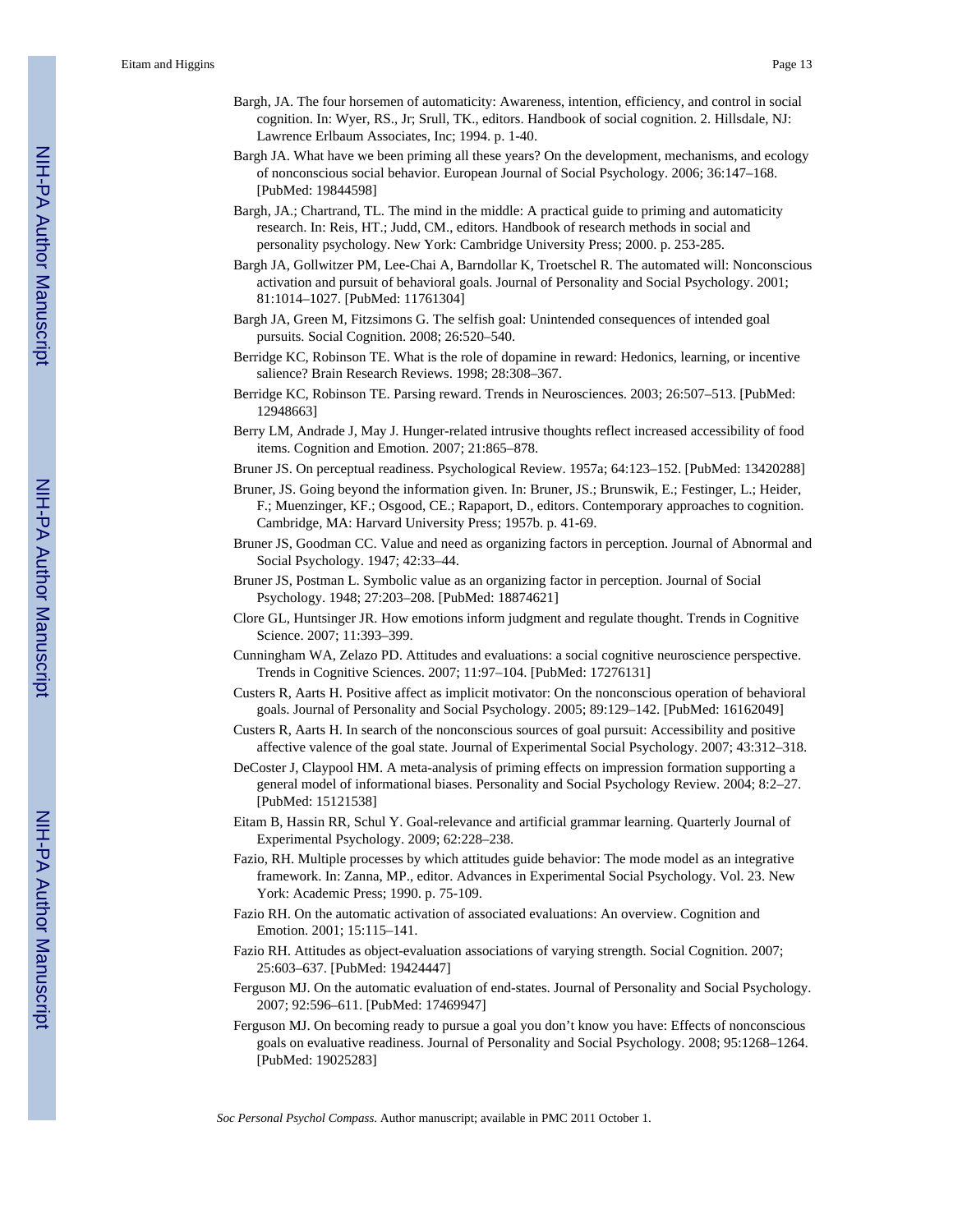- Bargh, JA. The four horsemen of automaticity: Awareness, intention, efficiency, and control in social cognition. In: Wyer, RS., Jr; Srull, TK., editors. Handbook of social cognition. 2. Hillsdale, NJ: Lawrence Erlbaum Associates, Inc; 1994. p. 1-40.
- Bargh JA. What have we been priming all these years? On the development, mechanisms, and ecology of nonconscious social behavior. European Journal of Social Psychology. 2006; 36:147–168. [PubMed: 19844598]
- Bargh, JA.; Chartrand, TL. The mind in the middle: A practical guide to priming and automaticity research. In: Reis, HT.; Judd, CM., editors. Handbook of research methods in social and personality psychology. New York: Cambridge University Press; 2000. p. 253-285.
- Bargh JA, Gollwitzer PM, Lee-Chai A, Barndollar K, Troetschel R. The automated will: Nonconscious activation and pursuit of behavioral goals. Journal of Personality and Social Psychology. 2001; 81:1014–1027. [PubMed: 11761304]
- Bargh JA, Green M, Fitzsimons G. The selfish goal: Unintended consequences of intended goal pursuits. Social Cognition. 2008; 26:520–540.
- Berridge KC, Robinson TE. What is the role of dopamine in reward: Hedonics, learning, or incentive salience? Brain Research Reviews. 1998; 28:308–367.
- Berridge KC, Robinson TE. Parsing reward. Trends in Neurosciences. 2003; 26:507–513. [PubMed: 12948663]
- Berry LM, Andrade J, May J. Hunger-related intrusive thoughts reflect increased accessibility of food items. Cognition and Emotion. 2007; 21:865–878.
- Bruner JS. On perceptual readiness. Psychological Review. 1957a; 64:123–152. [PubMed: 13420288]
- Bruner, JS. Going beyond the information given. In: Bruner, JS.; Brunswik, E.; Festinger, L.; Heider, F.; Muenzinger, KF.; Osgood, CE.; Rapaport, D., editors. Contemporary approaches to cognition. Cambridge, MA: Harvard University Press; 1957b. p. 41-69.
- Bruner JS, Goodman CC. Value and need as organizing factors in perception. Journal of Abnormal and Social Psychology. 1947; 42:33–44.
- Bruner JS, Postman L. Symbolic value as an organizing factor in perception. Journal of Social Psychology. 1948; 27:203–208. [PubMed: 18874621]
- Clore GL, Huntsinger JR. How emotions inform judgment and regulate thought. Trends in Cognitive Science. 2007; 11:393–399.
- Cunningham WA, Zelazo PD. Attitudes and evaluations: a social cognitive neuroscience perspective. Trends in Cognitive Sciences. 2007; 11:97–104. [PubMed: 17276131]
- Custers R, Aarts H. Positive affect as implicit motivator: On the nonconscious operation of behavioral goals. Journal of Personality and Social Psychology. 2005; 89:129–142. [PubMed: 16162049]
- Custers R, Aarts H. In search of the nonconscious sources of goal pursuit: Accessibility and positive affective valence of the goal state. Journal of Experimental Social Psychology. 2007; 43:312–318.
- DeCoster J, Claypool HM. A meta-analysis of priming effects on impression formation supporting a general model of informational biases. Personality and Social Psychology Review. 2004; 8:2–27. [PubMed: 15121538]
- Eitam B, Hassin RR, Schul Y. Goal-relevance and artificial grammar learning. Quarterly Journal of Experimental Psychology. 2009; 62:228–238.
- Fazio, RH. Multiple processes by which attitudes guide behavior: The mode model as an integrative framework. In: Zanna, MP., editor. Advances in Experimental Social Psychology. Vol. 23. New York: Academic Press; 1990. p. 75-109.
- Fazio RH. On the automatic activation of associated evaluations: An overview. Cognition and Emotion. 2001; 15:115–141.
- Fazio RH. Attitudes as object-evaluation associations of varying strength. Social Cognition. 2007; 25:603–637. [PubMed: 19424447]
- Ferguson MJ. On the automatic evaluation of end-states. Journal of Personality and Social Psychology. 2007; 92:596–611. [PubMed: 17469947]
- Ferguson MJ. On becoming ready to pursue a goal you don't know you have: Effects of nonconscious goals on evaluative readiness. Journal of Personality and Social Psychology. 2008; 95:1268–1264. [PubMed: 19025283]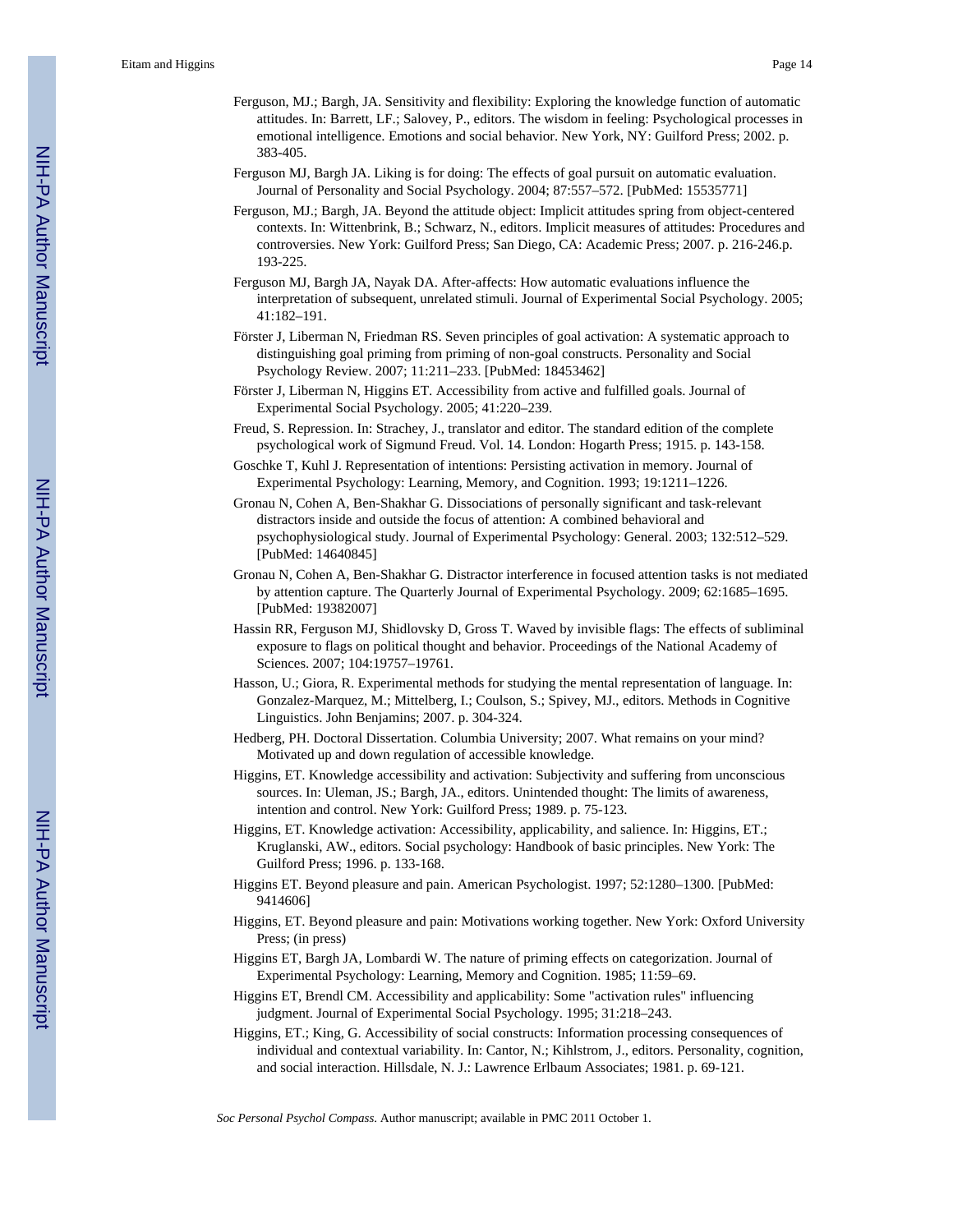- Ferguson, MJ.; Bargh, JA. Sensitivity and flexibility: Exploring the knowledge function of automatic attitudes. In: Barrett, LF.; Salovey, P., editors. The wisdom in feeling: Psychological processes in emotional intelligence. Emotions and social behavior. New York, NY: Guilford Press; 2002. p. 383-405.
- Ferguson MJ, Bargh JA. Liking is for doing: The effects of goal pursuit on automatic evaluation. Journal of Personality and Social Psychology. 2004; 87:557–572. [PubMed: 15535771]
- Ferguson, MJ.; Bargh, JA. Beyond the attitude object: Implicit attitudes spring from object-centered contexts. In: Wittenbrink, B.; Schwarz, N., editors. Implicit measures of attitudes: Procedures and controversies. New York: Guilford Press; San Diego, CA: Academic Press; 2007. p. 216-246.p. 193-225.
- Ferguson MJ, Bargh JA, Nayak DA. After-affects: How automatic evaluations influence the interpretation of subsequent, unrelated stimuli. Journal of Experimental Social Psychology. 2005; 41:182–191.
- Förster J, Liberman N, Friedman RS. Seven principles of goal activation: A systematic approach to distinguishing goal priming from priming of non-goal constructs. Personality and Social Psychology Review. 2007; 11:211–233. [PubMed: 18453462]
- Förster J, Liberman N, Higgins ET. Accessibility from active and fulfilled goals. Journal of Experimental Social Psychology. 2005; 41:220–239.
- Freud, S. Repression. In: Strachey, J., translator and editor. The standard edition of the complete psychological work of Sigmund Freud. Vol. 14. London: Hogarth Press; 1915. p. 143-158.
- Goschke T, Kuhl J. Representation of intentions: Persisting activation in memory. Journal of Experimental Psychology: Learning, Memory, and Cognition. 1993; 19:1211–1226.
- Gronau N, Cohen A, Ben-Shakhar G. Dissociations of personally significant and task-relevant distractors inside and outside the focus of attention: A combined behavioral and psychophysiological study. Journal of Experimental Psychology: General. 2003; 132:512–529. [PubMed: 14640845]
- Gronau N, Cohen A, Ben-Shakhar G. Distractor interference in focused attention tasks is not mediated by attention capture. The Quarterly Journal of Experimental Psychology. 2009; 62:1685–1695. [PubMed: 19382007]
- Hassin RR, Ferguson MJ, Shidlovsky D, Gross T. Waved by invisible flags: The effects of subliminal exposure to flags on political thought and behavior. Proceedings of the National Academy of Sciences. 2007; 104:19757–19761.
- Hasson, U.; Giora, R. Experimental methods for studying the mental representation of language. In: Gonzalez-Marquez, M.; Mittelberg, I.; Coulson, S.; Spivey, MJ., editors. Methods in Cognitive Linguistics. John Benjamins; 2007. p. 304-324.
- Hedberg, PH. Doctoral Dissertation. Columbia University; 2007. What remains on your mind? Motivated up and down regulation of accessible knowledge.
- Higgins, ET. Knowledge accessibility and activation: Subjectivity and suffering from unconscious sources. In: Uleman, JS.; Bargh, JA., editors. Unintended thought: The limits of awareness, intention and control. New York: Guilford Press; 1989. p. 75-123.
- Higgins, ET. Knowledge activation: Accessibility, applicability, and salience. In: Higgins, ET.; Kruglanski, AW., editors. Social psychology: Handbook of basic principles. New York: The Guilford Press; 1996. p. 133-168.
- Higgins ET. Beyond pleasure and pain. American Psychologist. 1997; 52:1280–1300. [PubMed: 9414606]
- Higgins, ET. Beyond pleasure and pain: Motivations working together. New York: Oxford University Press; (in press)
- Higgins ET, Bargh JA, Lombardi W. The nature of priming effects on categorization. Journal of Experimental Psychology: Learning, Memory and Cognition. 1985; 11:59–69.
- Higgins ET, Brendl CM. Accessibility and applicability: Some "activation rules" influencing judgment. Journal of Experimental Social Psychology. 1995; 31:218–243.
- Higgins, ET.; King, G. Accessibility of social constructs: Information processing consequences of individual and contextual variability. In: Cantor, N.; Kihlstrom, J., editors. Personality, cognition, and social interaction. Hillsdale, N. J.: Lawrence Erlbaum Associates; 1981. p. 69-121.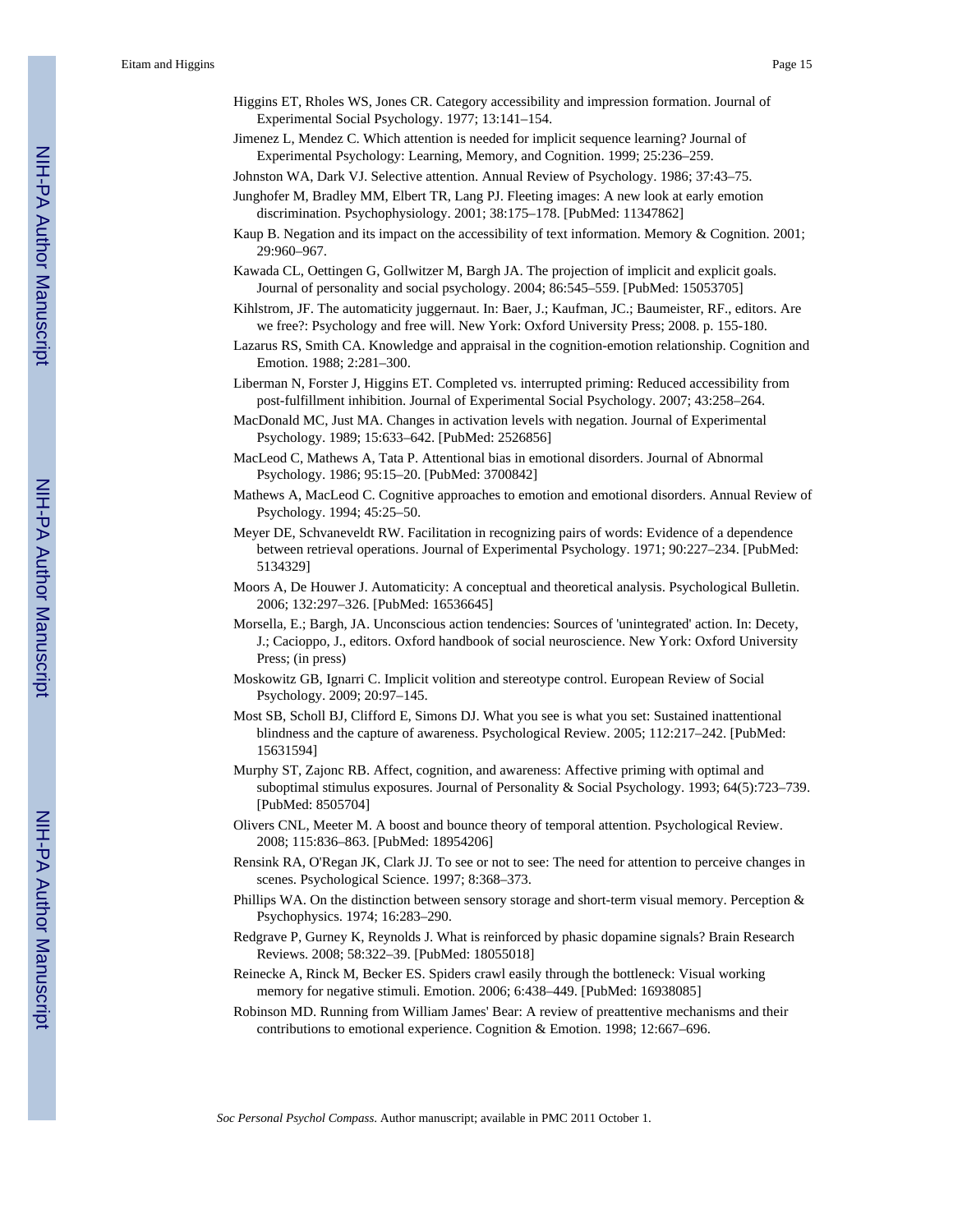- Higgins ET, Rholes WS, Jones CR. Category accessibility and impression formation. Journal of Experimental Social Psychology. 1977; 13:141–154.
- Jimenez L, Mendez C. Which attention is needed for implicit sequence learning? Journal of Experimental Psychology: Learning, Memory, and Cognition. 1999; 25:236–259.
- Johnston WA, Dark VJ. Selective attention. Annual Review of Psychology. 1986; 37:43–75.
- Junghofer M, Bradley MM, Elbert TR, Lang PJ. Fleeting images: A new look at early emotion discrimination. Psychophysiology. 2001; 38:175–178. [PubMed: 11347862]
- Kaup B. Negation and its impact on the accessibility of text information. Memory & Cognition. 2001; 29:960–967.
- Kawada CL, Oettingen G, Gollwitzer M, Bargh JA. The projection of implicit and explicit goals. Journal of personality and social psychology. 2004; 86:545–559. [PubMed: 15053705]
- Kihlstrom, JF. The automaticity juggernaut. In: Baer, J.; Kaufman, JC.; Baumeister, RF., editors. Are we free?: Psychology and free will. New York: Oxford University Press; 2008. p. 155-180.
- Lazarus RS, Smith CA. Knowledge and appraisal in the cognition-emotion relationship. Cognition and Emotion. 1988; 2:281–300.
- Liberman N, Forster J, Higgins ET. Completed vs. interrupted priming: Reduced accessibility from post-fulfillment inhibition. Journal of Experimental Social Psychology. 2007; 43:258–264.
- MacDonald MC, Just MA. Changes in activation levels with negation. Journal of Experimental Psychology. 1989; 15:633–642. [PubMed: 2526856]
- MacLeod C, Mathews A, Tata P. Attentional bias in emotional disorders. Journal of Abnormal Psychology. 1986; 95:15–20. [PubMed: 3700842]
- Mathews A, MacLeod C. Cognitive approaches to emotion and emotional disorders. Annual Review of Psychology. 1994; 45:25–50.
- Meyer DE, Schvaneveldt RW. Facilitation in recognizing pairs of words: Evidence of a dependence between retrieval operations. Journal of Experimental Psychology. 1971; 90:227–234. [PubMed: 5134329]
- Moors A, De Houwer J. Automaticity: A conceptual and theoretical analysis. Psychological Bulletin. 2006; 132:297–326. [PubMed: 16536645]
- Morsella, E.; Bargh, JA. Unconscious action tendencies: Sources of 'unintegrated' action. In: Decety, J.; Cacioppo, J., editors. Oxford handbook of social neuroscience. New York: Oxford University Press; (in press)
- Moskowitz GB, Ignarri C. Implicit volition and stereotype control. European Review of Social Psychology. 2009; 20:97–145.
- Most SB, Scholl BJ, Clifford E, Simons DJ. What you see is what you set: Sustained inattentional blindness and the capture of awareness. Psychological Review. 2005; 112:217–242. [PubMed: 15631594]
- Murphy ST, Zajonc RB. Affect, cognition, and awareness: Affective priming with optimal and suboptimal stimulus exposures. Journal of Personality & Social Psychology. 1993; 64(5):723–739. [PubMed: 8505704]
- Olivers CNL, Meeter M. A boost and bounce theory of temporal attention. Psychological Review. 2008; 115:836–863. [PubMed: 18954206]
- Rensink RA, O'Regan JK, Clark JJ. To see or not to see: The need for attention to perceive changes in scenes. Psychological Science. 1997; 8:368–373.
- Phillips WA. On the distinction between sensory storage and short-term visual memory. Perception & Psychophysics. 1974; 16:283–290.
- Redgrave P, Gurney K, Reynolds J. What is reinforced by phasic dopamine signals? Brain Research Reviews. 2008; 58:322–39. [PubMed: 18055018]
- Reinecke A, Rinck M, Becker ES. Spiders crawl easily through the bottleneck: Visual working memory for negative stimuli. Emotion. 2006; 6:438–449. [PubMed: 16938085]
- Robinson MD. Running from William James' Bear: A review of preattentive mechanisms and their contributions to emotional experience. Cognition & Emotion. 1998; 12:667–696.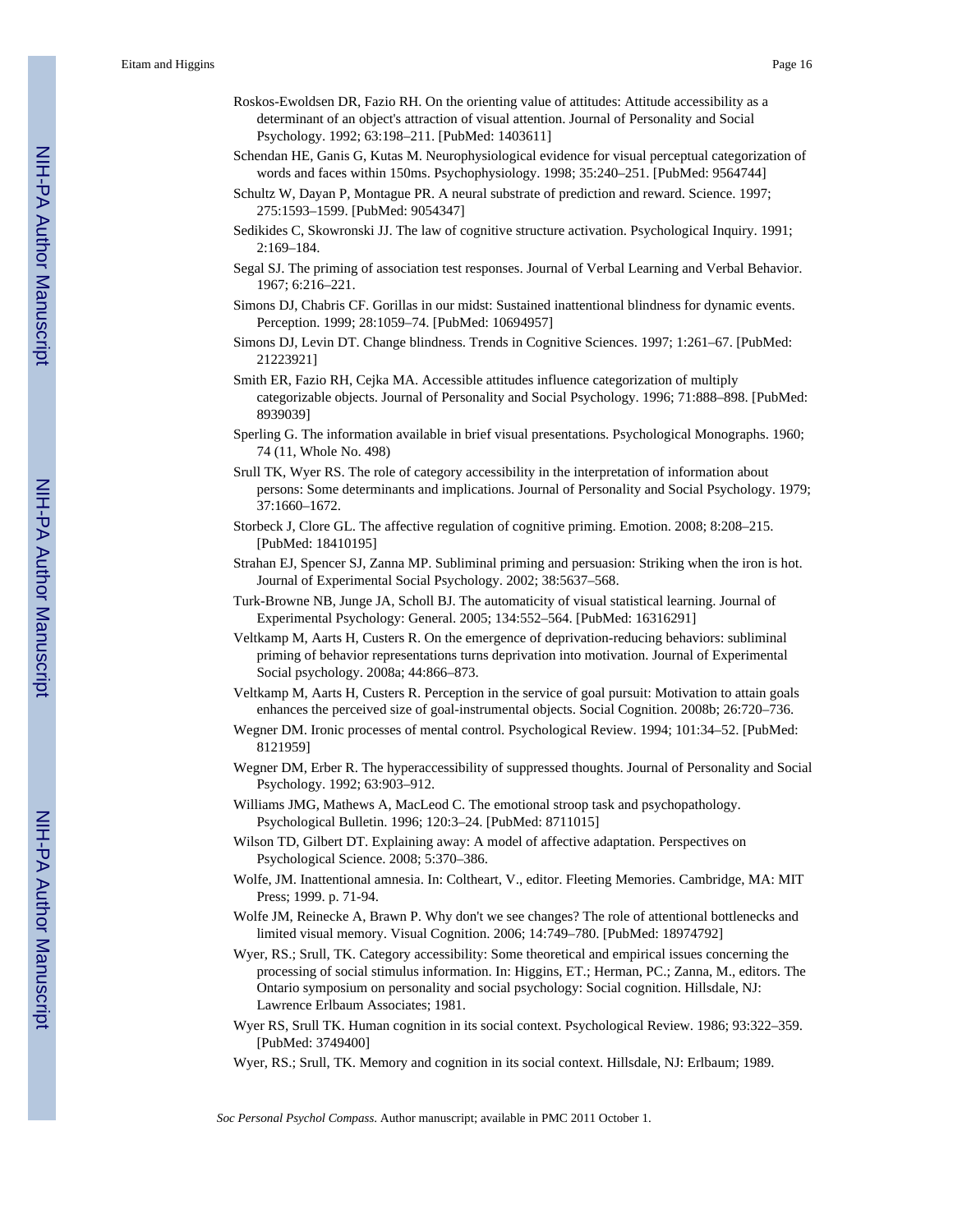- Roskos-Ewoldsen DR, Fazio RH. On the orienting value of attitudes: Attitude accessibility as a determinant of an object's attraction of visual attention. Journal of Personality and Social Psychology. 1992; 63:198–211. [PubMed: 1403611]
- Schendan HE, Ganis G, Kutas M. Neurophysiological evidence for visual perceptual categorization of words and faces within 150ms. Psychophysiology. 1998; 35:240–251. [PubMed: 9564744]
- Schultz W, Dayan P, Montague PR. A neural substrate of prediction and reward. Science. 1997; 275:1593–1599. [PubMed: 9054347]
- Sedikides C, Skowronski JJ. The law of cognitive structure activation. Psychological Inquiry. 1991; 2:169–184.
- Segal SJ. The priming of association test responses. Journal of Verbal Learning and Verbal Behavior. 1967; 6:216–221.
- Simons DJ, Chabris CF. Gorillas in our midst: Sustained inattentional blindness for dynamic events. Perception. 1999; 28:1059–74. [PubMed: 10694957]
- Simons DJ, Levin DT. Change blindness. Trends in Cognitive Sciences. 1997; 1:261–67. [PubMed: 21223921]
- Smith ER, Fazio RH, Cejka MA. Accessible attitudes influence categorization of multiply categorizable objects. Journal of Personality and Social Psychology. 1996; 71:888–898. [PubMed: 8939039]
- Sperling G. The information available in brief visual presentations. Psychological Monographs. 1960; 74 (11, Whole No. 498)
- Srull TK, Wyer RS. The role of category accessibility in the interpretation of information about persons: Some determinants and implications. Journal of Personality and Social Psychology. 1979; 37:1660–1672.
- Storbeck J, Clore GL. The affective regulation of cognitive priming. Emotion. 2008; 8:208–215. [PubMed: 18410195]
- Strahan EJ, Spencer SJ, Zanna MP. Subliminal priming and persuasion: Striking when the iron is hot. Journal of Experimental Social Psychology. 2002; 38:5637–568.
- Turk-Browne NB, Junge JA, Scholl BJ. The automaticity of visual statistical learning. Journal of Experimental Psychology: General. 2005; 134:552–564. [PubMed: 16316291]
- Veltkamp M, Aarts H, Custers R. On the emergence of deprivation-reducing behaviors: subliminal priming of behavior representations turns deprivation into motivation. Journal of Experimental Social psychology. 2008a; 44:866–873.
- Veltkamp M, Aarts H, Custers R. Perception in the service of goal pursuit: Motivation to attain goals enhances the perceived size of goal-instrumental objects. Social Cognition. 2008b; 26:720–736.
- Wegner DM. Ironic processes of mental control. Psychological Review. 1994; 101:34–52. [PubMed: 8121959]
- Wegner DM, Erber R. The hyperaccessibility of suppressed thoughts. Journal of Personality and Social Psychology. 1992; 63:903–912.
- Williams JMG, Mathews A, MacLeod C. The emotional stroop task and psychopathology. Psychological Bulletin. 1996; 120:3–24. [PubMed: 8711015]
- Wilson TD, Gilbert DT. Explaining away: A model of affective adaptation. Perspectives on Psychological Science. 2008; 5:370–386.
- Wolfe, JM. Inattentional amnesia. In: Coltheart, V., editor. Fleeting Memories. Cambridge, MA: MIT Press; 1999. p. 71-94.
- Wolfe JM, Reinecke A, Brawn P. Why don't we see changes? The role of attentional bottlenecks and limited visual memory. Visual Cognition. 2006; 14:749–780. [PubMed: 18974792]
- Wyer, RS.; Srull, TK. Category accessibility: Some theoretical and empirical issues concerning the processing of social stimulus information. In: Higgins, ET.; Herman, PC.; Zanna, M., editors. The Ontario symposium on personality and social psychology: Social cognition. Hillsdale, NJ: Lawrence Erlbaum Associates; 1981.
- Wyer RS, Srull TK. Human cognition in its social context. Psychological Review. 1986; 93:322–359. [PubMed: 3749400]
- Wyer, RS.; Srull, TK. Memory and cognition in its social context. Hillsdale, NJ: Erlbaum; 1989.